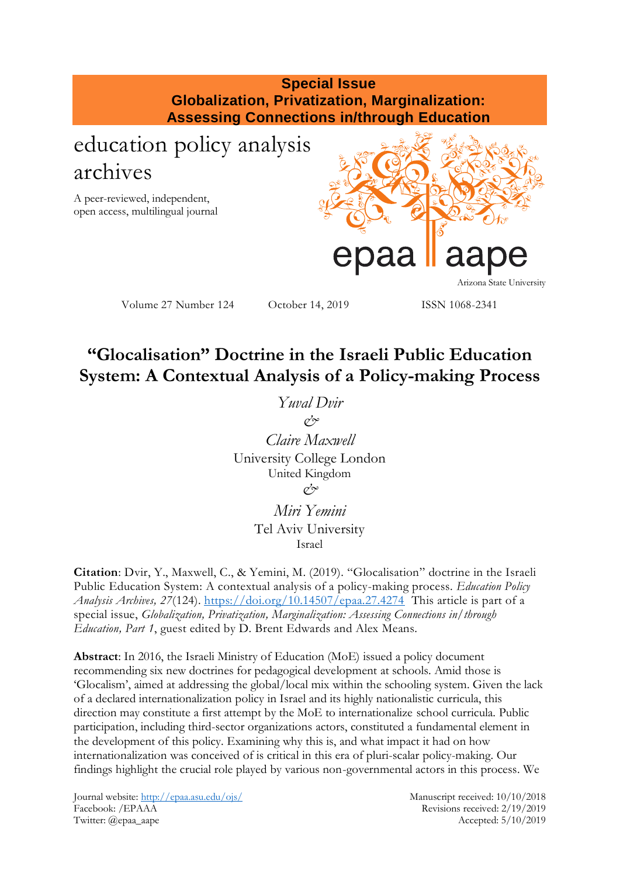# **Special Issue Globalization, Privatization, Marginalization: Assessing Connections in/through Education**

# education policy analysis archives

A peer-reviewed, independent, open access, multilingual journal



Volume 27 Number 124 October 14, 2019 ISSN 1068-2341

# **"Glocalisation" Doctrine in the Israeli Public Education System: A Contextual Analysis of a Policy-making Process**

*Yuval Dvir*  $\alpha^2$ *Claire Maxwell* University College London United Kingdom  $\alpha^{\prime}$ 

> *Miri Yemini* Tel Aviv University Israel

**Citation**: Dvir, Y., Maxwell, C., & Yemini, M. (2019). "Glocalisation" doctrine in the Israeli Public Education System: A contextual analysis of a policy-making process. *Education Policy Analysis Archives, 27*(124).<https://doi.org/10.14507/epaa.27.4274>This article is part of a special issue, *Globalization, Privatization, Marginalization: Assessing Connections in/through Education, Part 1*, guest edited by D. Brent Edwards and Alex Means.

**Abstract**: In 2016, the Israeli Ministry of Education (MoE) issued a policy document recommending six new doctrines for pedagogical development at schools. Amid those is 'Glocalism', aimed at addressing the global/local mix within the schooling system. Given the lack of a declared internationalization policy in Israel and its highly nationalistic curricula, this direction may constitute a first attempt by the MoE to internationalize school curricula. Public participation, including third-sector organizations actors, constituted a fundamental element in the development of this policy. Examining why this is, and what impact it had on how internationalization was conceived of is critical in this era of pluri-scalar policy-making. Our findings highlight the crucial role played by various non-governmental actors in this process. We

Journal website:<http://epaa.asu.edu/ojs/> Manuscript received: 10/10/2018 Facebook: /EPAAA Revisions received: 2/19/2019 Twitter: @epaa\_aape Accepted: 5/10/2019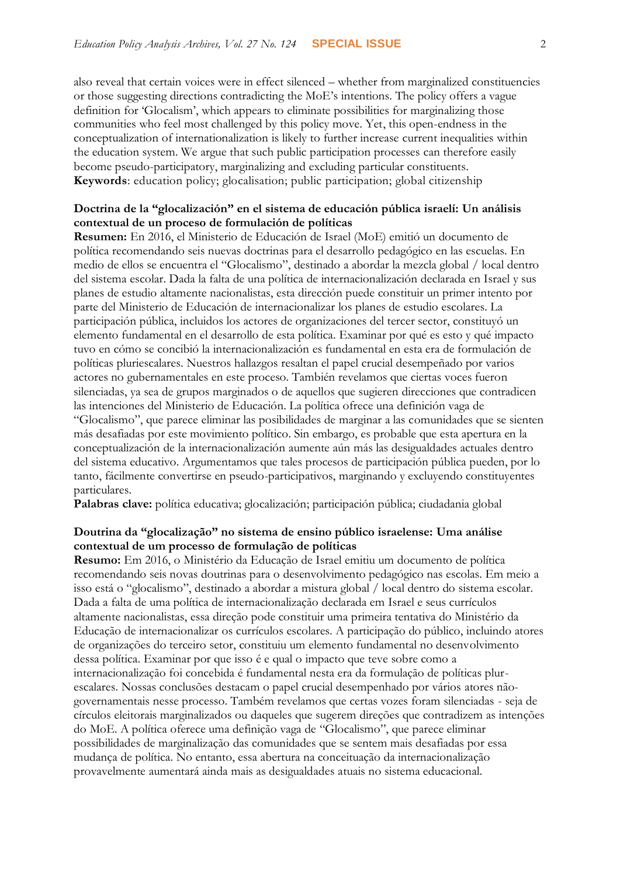also reveal that certain voices were in effect silenced – whether from marginalized constituencies or those suggesting directions contradicting the MoE's intentions. The policy offers a vague definition for 'Glocalism', which appears to eliminate possibilities for marginalizing those communities who feel most challenged by this policy move. Yet, this open-endness in the conceptualization of internationalization is likely to further increase current inequalities within the education system. We argue that such public participation processes can therefore easily become pseudo-participatory, marginalizing and excluding particular constituents. **Keywords**: education policy; glocalisation; public participation; global citizenship

### **Doctrina de la "glocalización" en el sistema de educación pública israelí: Un análisis contextual de un proceso de formulación de políticas**

**Resumen:** En 2016, el Ministerio de Educación de Israel (MoE) emitió un documento de política recomendando seis nuevas doctrinas para el desarrollo pedagógico en las escuelas. En medio de ellos se encuentra el "Glocalismo", destinado a abordar la mezcla global / local dentro del sistema escolar. Dada la falta de una política de internacionalización declarada en Israel y sus planes de estudio altamente nacionalistas, esta dirección puede constituir un primer intento por parte del Ministerio de Educación de internacionalizar los planes de estudio escolares. La participación pública, incluidos los actores de organizaciones del tercer sector, constituyó un elemento fundamental en el desarrollo de esta política. Examinar por qué es esto y qué impacto tuvo en cómo se concibió la internacionalización es fundamental en esta era de formulación de políticas pluriescalares. Nuestros hallazgos resaltan el papel crucial desempeñado por varios actores no gubernamentales en este proceso. También revelamos que ciertas voces fueron silenciadas, ya sea de grupos marginados o de aquellos que sugieren direcciones que contradicen las intenciones del Ministerio de Educación. La política ofrece una definición vaga de "Glocalismo", que parece eliminar las posibilidades de marginar a las comunidades que se sienten más desafiadas por este movimiento político. Sin embargo, es probable que esta apertura en la conceptualización de la internacionalización aumente aún más las desigualdades actuales dentro del sistema educativo. Argumentamos que tales procesos de participación pública pueden, por lo tanto, fácilmente convertirse en pseudo-participativos, marginando y excluyendo constituyentes particulares.

**Palabras clave:** política educativa; glocalización; participación pública; ciudadania global

#### **Doutrina da "glocalização" no sistema de ensino público israelense: Uma análise contextual de um processo de formulação de políticas**

**Resumo:** Em 2016, o Ministério da Educação de Israel emitiu um documento de política recomendando seis novas doutrinas para o desenvolvimento pedagógico nas escolas. Em meio a isso está o "glocalismo", destinado a abordar a mistura global / local dentro do sistema escolar. Dada a falta de uma política de internacionalização declarada em Israel e seus currículos altamente nacionalistas, essa direção pode constituir uma primeira tentativa do Ministério da Educação de internacionalizar os currículos escolares. A participação do público, incluindo atores de organizações do terceiro setor, constituiu um elemento fundamental no desenvolvimento dessa política. Examinar por que isso é e qual o impacto que teve sobre como a internacionalização foi concebida é fundamental nesta era da formulação de políticas plurescalares. Nossas conclusões destacam o papel crucial desempenhado por vários atores nãogovernamentais nesse processo. Também revelamos que certas vozes foram silenciadas - seja de círculos eleitorais marginalizados ou daqueles que sugerem direções que contradizem as intenções do MoE. A política oferece uma definição vaga de "Glocalismo", que parece eliminar possibilidades de marginalização das comunidades que se sentem mais desafiadas por essa mudança de política. No entanto, essa abertura na conceituação da internacionalização provavelmente aumentará ainda mais as desigualdades atuais no sistema educacional.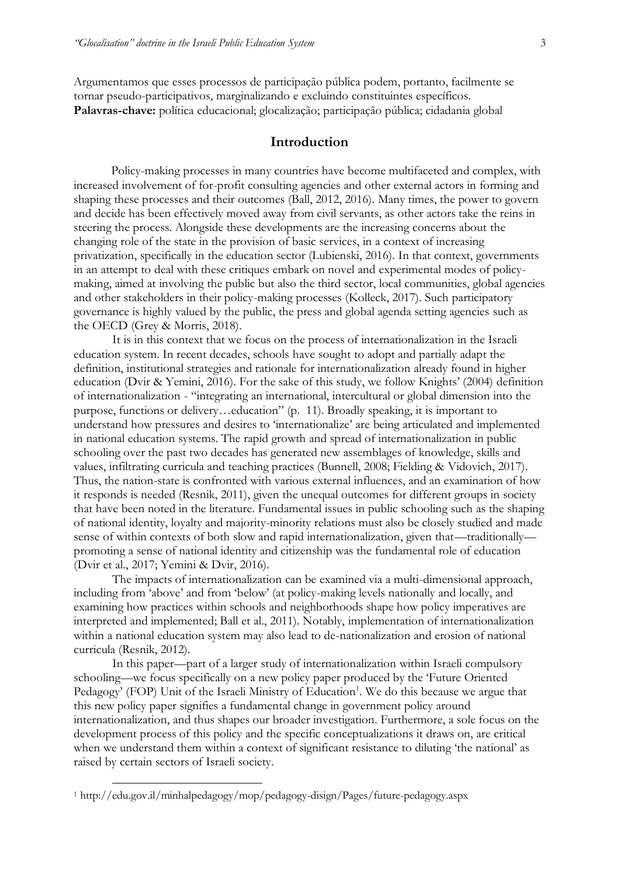Argumentamos que esses processos de participação pública podem, portanto, facilmente se tornar pseudo-participativos, marginalizando e excluindo constituintes específicos. **Palavras-chave:** política educacional; glocalização; participação pública; cidadania global

# **Introduction**

Policy-making processes in many countries have become multifaceted and complex, with increased involvement of for-profit consulting agencies and other external actors in forming and shaping these processes and their outcomes (Ball, 2012, 2016). Many times, the power to govern and decide has been effectively moved away from civil servants, as other actors take the reins in steering the process. Alongside these developments are the increasing concerns about the changing role of the state in the provision of basic services, in a context of increasing privatization, specifically in the education sector (Lubienski, 2016). In that context, governments in an attempt to deal with these critiques embark on novel and experimental modes of policymaking, aimed at involving the public but also the third sector, local communities, global agencies and other stakeholders in their policy-making processes (Kolleck, 2017). Such participatory governance is highly valued by the public, the press and global agenda setting agencies such as the OECD (Grey & Morris, 2018).

It is in this context that we focus on the process of internationalization in the Israeli education system. In recent decades, schools have sought to adopt and partially adapt the definition, institutional strategies and rationale for internationalization already found in higher education (Dvir & Yemini, 2016). For the sake of this study, we follow Knights' (2004) definition of internationalization - "integrating an international, intercultural or global dimension into the purpose, functions or delivery…education" (p. 11). Broadly speaking, it is important to understand how pressures and desires to 'internationalize' are being articulated and implemented in national education systems. The rapid growth and spread of internationalization in public schooling over the past two decades has generated new assemblages of knowledge, skills and values, infiltrating curricula and teaching practices (Bunnell, 2008; Fielding & Vidovich, 2017). Thus, the nation-state is confronted with various external influences, and an examination of how it responds is needed (Resnik, 2011), given the unequal outcomes for different groups in society that have been noted in the literature. Fundamental issues in public schooling such as the shaping of national identity, loyalty and majority-minority relations must also be closely studied and made sense of within contexts of both slow and rapid internationalization, given that—traditionallypromoting a sense of national identity and citizenship was the fundamental role of education (Dvir et al., 2017; Yemini & Dvir, 2016).

The impacts of internationalization can be examined via a multi-dimensional approach, including from 'above' and from 'below' (at policy-making levels nationally and locally, and examining how practices within schools and neighborhoods shape how policy imperatives are interpreted and implemented; Ball et al., 2011). Notably, implementation of internationalization within a national education system may also lead to de-nationalization and erosion of national curricula (Resnik, 2012).

In this paper—part of a larger study of internationalization within Israeli compulsory schooling—we focus specifically on a new policy paper produced by the 'Future Oriented Pedagogy' (FOP) Unit of the Israeli Ministry of Education<sup>1</sup>. We do this because we argue that this new policy paper signifies a fundamental change in government policy around internationalization, and thus shapes our broader investigation. Furthermore, a sole focus on the development process of this policy and the specific conceptualizations it draws on, are critical when we understand them within a context of significant resistance to diluting 'the national' as raised by certain sectors of Israeli society.

 $\overline{a}$ 

<sup>1</sup> http://edu.gov.il/minhalpedagogy/mop/pedagogy-disign/Pages/future-pedagogy.aspx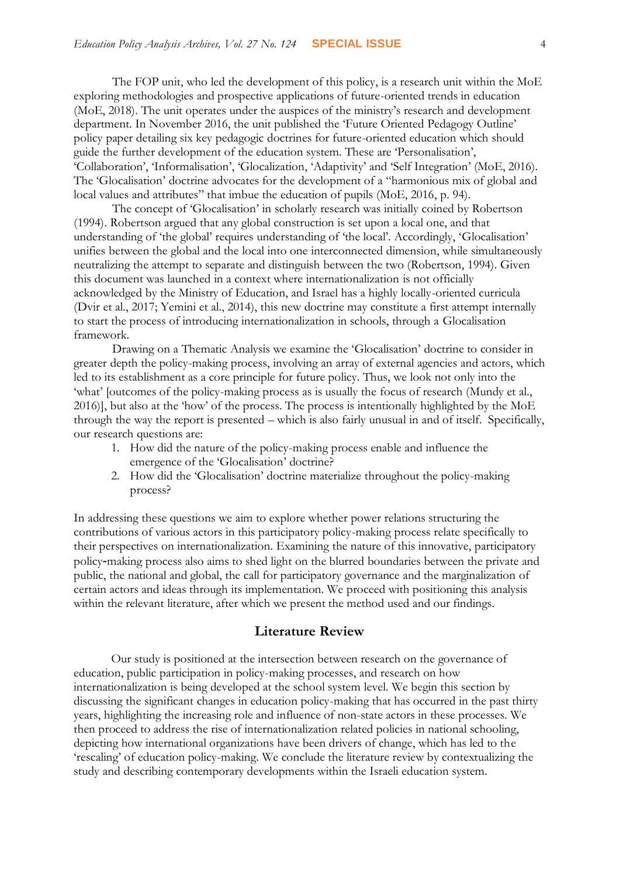The FOP unit, who led the development of this policy, is a research unit within the MoE exploring methodologies and prospective applications of future-oriented trends in education (MoE, 2018). The unit operates under the auspices of the ministry's research and development department. In November 2016, the unit published the 'Future Oriented Pedagogy Outline' policy paper detailing six key pedagogic doctrines for future-oriented education which should guide the further development of the education system. These are 'Personalisation', 'Collaboration', 'Informalisation', 'Glocalization, 'Adaptivity' and 'Self Integration' (MoE, 2016). The 'Glocalisation' doctrine advocates for the development of a "harmonious mix of global and local values and attributes" that imbue the education of pupils (MoE, 2016, p. 94).

The concept of 'Glocalisation' in scholarly research was initially coined by Robertson (1994). Robertson argued that any global construction is set upon a local one, and that understanding of 'the global' requires understanding of 'the local'. Accordingly, 'Glocalisation' unifies between the global and the local into one interconnected dimension, while simultaneously neutralizing the attempt to separate and distinguish between the two (Robertson, 1994). Given this document was launched in a context where internationalization is not officially acknowledged by the Ministry of Education, and Israel has a highly locally-oriented curricula (Dvir et al., 2017; Yemini et al., 2014), this new doctrine may constitute a first attempt internally to start the process of introducing internationalization in schools, through a Glocalisation framework.

Drawing on a Thematic Analysis we examine the 'Glocalisation' doctrine to consider in greater depth the policy-making process, involving an array of external agencies and actors, which led to its establishment as a core principle for future policy. Thus, we look not only into the 'what' [outcomes of the policy-making process as is usually the focus of research (Mundy et al., 2016)], but also at the 'how' of the process. The process is intentionally highlighted by the MoE through the way the report is presented – which is also fairly unusual in and of itself. Specifically, our research questions are:

- 1. How did the nature of the policy-making process enable and influence the emergence of the 'Glocalisation' doctrine?
- 2. How did the 'Glocalisation' doctrine materialize throughout the policy-making process?

In addressing these questions we aim to explore whether power relations structuring the contributions of various actors in this participatory policy-making process relate specifically to their perspectives on internationalization. Examining the nature of this innovative, participatory policy-making process also aims to shed light on the blurred boundaries between the private and public, the national and global, the call for participatory governance and the marginalization of certain actors and ideas through its implementation. We proceed with positioning this analysis within the relevant literature, after which we present the method used and our findings.

#### **Literature Review**

Our study is positioned at the intersection between research on the governance of education, public participation in policy-making processes, and research on how internationalization is being developed at the school system level. We begin this section by discussing the significant changes in education policy-making that has occurred in the past thirty years, highlighting the increasing role and influence of non-state actors in these processes. We then proceed to address the rise of internationalization related policies in national schooling, depicting how international organizations have been drivers of change, which has led to the 'rescaling' of education policy-making. We conclude the literature review by contextualizing the study and describing contemporary developments within the Israeli education system.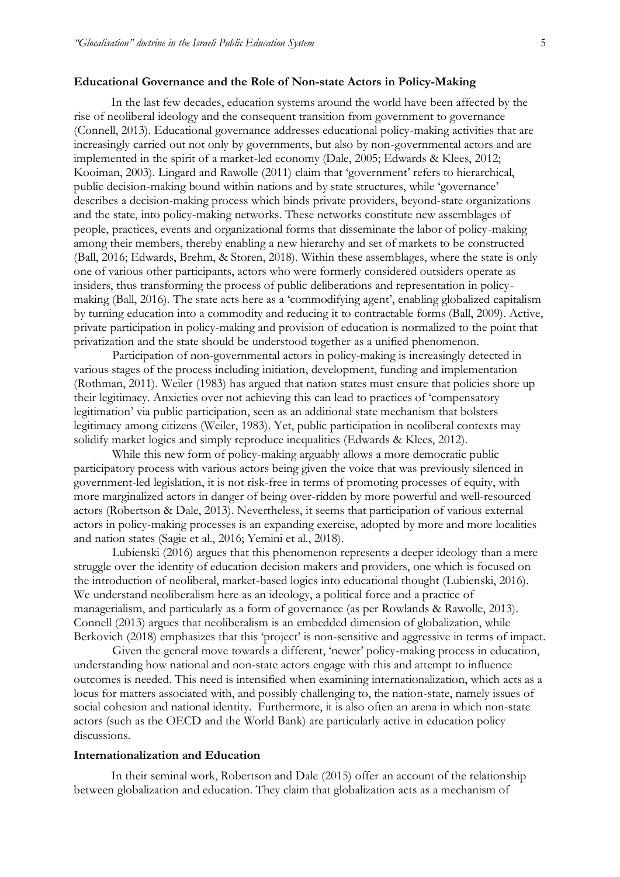#### **Educational Governance and the Role of Non-state Actors in Policy-Making**

In the last few decades, education systems around the world have been affected by the rise of neoliberal ideology and the consequent transition from government to governance (Connell, 2013). Educational governance addresses educational policy-making activities that are increasingly carried out not only by governments, but also by non-governmental actors and are implemented in the spirit of a market-led economy (Dale, 2005; Edwards & Klees, 2012; Kooiman, 2003). Lingard and Rawolle (2011) claim that 'government' refers to hierarchical, public decision-making bound within nations and by state structures, while 'governance' describes a decision-making process which binds private providers, beyond-state organizations and the state, into policy-making networks. These networks constitute new assemblages of people, practices, events and organizational forms that disseminate the labor of policy-making among their members, thereby enabling a new hierarchy and set of markets to be constructed (Ball, 2016; Edwards, Brehm, & Storen, 2018). Within these assemblages, where the state is only one of various other participants, actors who were formerly considered outsiders operate as insiders, thus transforming the process of public deliberations and representation in policymaking (Ball, 2016). The state acts here as a 'commodifying agent', enabling globalized capitalism by turning education into a commodity and reducing it to contractable forms (Ball, 2009). Active, private participation in policy-making and provision of education is normalized to the point that privatization and the state should be understood together as a unified phenomenon.

Participation of non-governmental actors in policy-making is increasingly detected in various stages of the process including initiation, development, funding and implementation (Rothman, 2011). Weiler (1983) has argued that nation states must ensure that policies shore up their legitimacy. Anxieties over not achieving this can lead to practices of 'compensatory legitimation' via public participation, seen as an additional state mechanism that bolsters legitimacy among citizens (Weiler, 1983). Yet, public participation in neoliberal contexts may solidify market logics and simply reproduce inequalities (Edwards & Klees, 2012).

While this new form of policy-making arguably allows a more democratic public participatory process with various actors being given the voice that was previously silenced in government-led legislation, it is not risk-free in terms of promoting processes of equity, with more marginalized actors in danger of being over-ridden by more powerful and well-resourced actors (Robertson & Dale, 2013). Nevertheless, it seems that participation of various external actors in policy-making processes is an expanding exercise, adopted by more and more localities and nation states (Sagie et al., 2016; Yemini et al., 2018).

Lubienski (2016) argues that this phenomenon represents a deeper ideology than a mere struggle over the identity of education decision makers and providers, one which is focused on the introduction of neoliberal, market-based logics into educational thought (Lubienski, 2016). We understand neoliberalism here as an ideology, a political force and a practice of managerialism, and particularly as a form of governance (as per Rowlands & Rawolle, 2013). Connell (2013) argues that neoliberalism is an embedded dimension of globalization, while Berkovich (2018) emphasizes that this 'project' is non-sensitive and aggressive in terms of impact.

Given the general move towards a different, 'newer' policy-making process in education, understanding how national and non-state actors engage with this and attempt to influence outcomes is needed. This need is intensified when examining internationalization, which acts as a locus for matters associated with, and possibly challenging to, the nation-state, namely issues of social cohesion and national identity. Furthermore, it is also often an arena in which non-state actors (such as the OECD and the World Bank) are particularly active in education policy discussions.

#### **Internationalization and Education**

In their seminal work, Robertson and Dale (2015) offer an account of the relationship between globalization and education. They claim that globalization acts as a mechanism of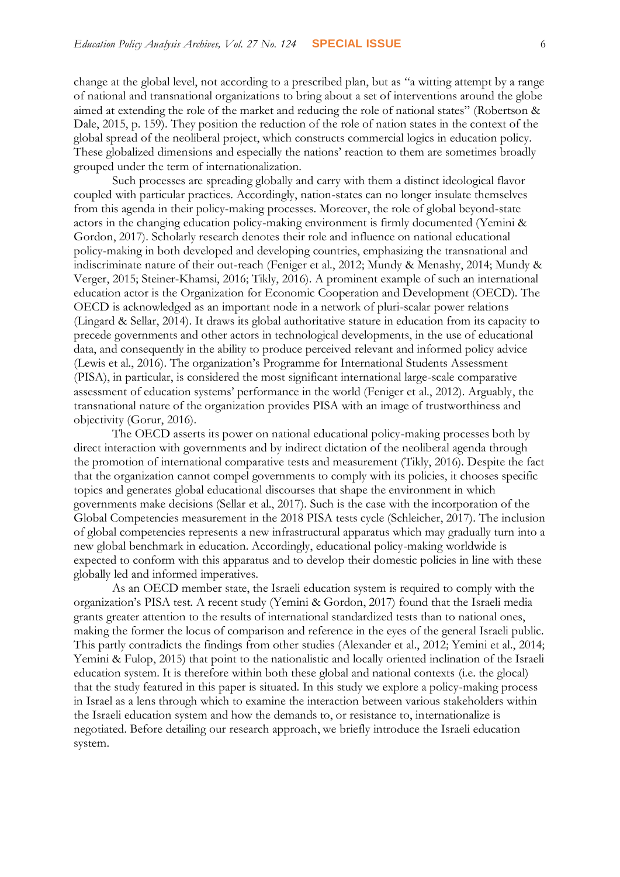change at the global level, not according to a prescribed plan, but as "a witting attempt by a range of national and transnational organizations to bring about a set of interventions around the globe aimed at extending the role of the market and reducing the role of national states" (Robertson & Dale, 2015, p. 159). They position the reduction of the role of nation states in the context of the global spread of the neoliberal project, which constructs commercial logics in education policy. These globalized dimensions and especially the nations' reaction to them are sometimes broadly grouped under the term of internationalization.

Such processes are spreading globally and carry with them a distinct ideological flavor coupled with particular practices. Accordingly, nation-states can no longer insulate themselves from this agenda in their policy-making processes. Moreover, the role of global beyond-state actors in the changing education policy-making environment is firmly documented (Yemini & Gordon, 2017). Scholarly research denotes their role and influence on national educational policy-making in both developed and developing countries, emphasizing the transnational and indiscriminate nature of their out-reach (Feniger et al., 2012; Mundy & Menashy, 2014; Mundy & Verger, 2015; Steiner-Khamsi, 2016; Tikly, 2016). A prominent example of such an international education actor is the Organization for Economic Cooperation and Development (OECD). The OECD is acknowledged as an important node in a network of pluri-scalar power relations (Lingard & Sellar, 2014). It draws its global authoritative stature in education from its capacity to precede governments and other actors in technological developments, in the use of educational data, and consequently in the ability to produce perceived relevant and informed policy advice (Lewis et al., 2016). The organization's Programme for International Students Assessment (PISA), in particular, is considered the most significant international large-scale comparative assessment of education systems' performance in the world (Feniger et al., 2012). Arguably, the transnational nature of the organization provides PISA with an image of trustworthiness and objectivity (Gorur, 2016).

The OECD asserts its power on national educational policy-making processes both by direct interaction with governments and by indirect dictation of the neoliberal agenda through the promotion of international comparative tests and measurement (Tikly, 2016). Despite the fact that the organization cannot compel governments to comply with its policies, it chooses specific topics and generates global educational discourses that shape the environment in which governments make decisions (Sellar et al., 2017). Such is the case with the incorporation of the Global Competencies measurement in the 2018 PISA tests cycle (Schleicher, 2017). The inclusion of global competencies represents a new infrastructural apparatus which may gradually turn into a new global benchmark in education. Accordingly, educational policy-making worldwide is expected to conform with this apparatus and to develop their domestic policies in line with these globally led and informed imperatives.

As an OECD member state, the Israeli education system is required to comply with the organization's PISA test. A recent study (Yemini & Gordon, 2017) found that the Israeli media grants greater attention to the results of international standardized tests than to national ones, making the former the locus of comparison and reference in the eyes of the general Israeli public. This partly contradicts the findings from other studies (Alexander et al., 2012; Yemini et al., 2014; Yemini & Fulop, 2015) that point to the nationalistic and locally oriented inclination of the Israeli education system. It is therefore within both these global and national contexts (i.e. the glocal) that the study featured in this paper is situated. In this study we explore a policy-making process in Israel as a lens through which to examine the interaction between various stakeholders within the Israeli education system and how the demands to, or resistance to, internationalize is negotiated. Before detailing our research approach, we briefly introduce the Israeli education system.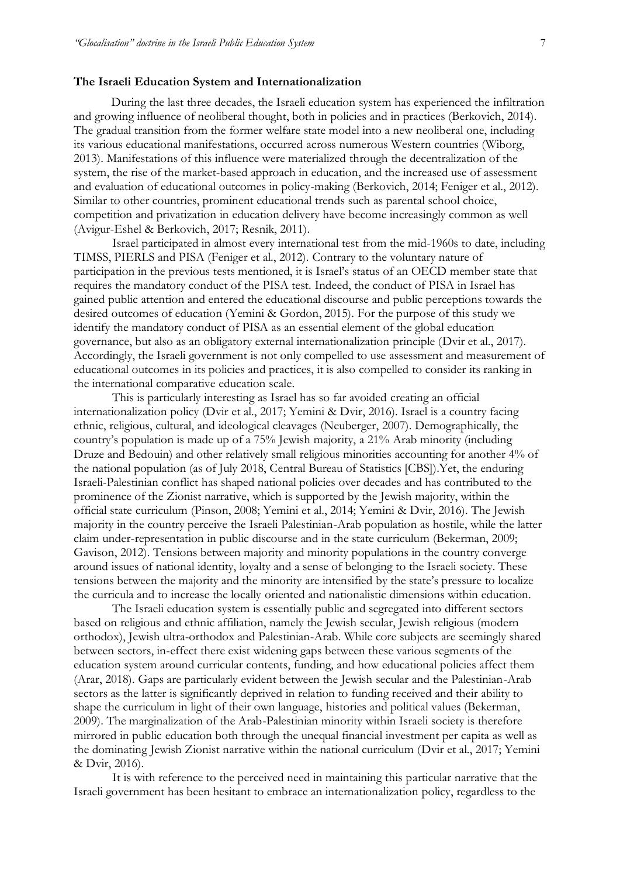#### **The Israeli Education System and Internationalization**

During the last three decades, the Israeli education system has experienced the infiltration and growing influence of neoliberal thought, both in policies and in practices (Berkovich, 2014). The gradual transition from the former welfare state model into a new neoliberal one, including its various educational manifestations, occurred across numerous Western countries (Wiborg, 2013). Manifestations of this influence were materialized through the decentralization of the system, the rise of the market-based approach in education, and the increased use of assessment and evaluation of educational outcomes in policy-making (Berkovich, 2014; Feniger et al., 2012). Similar to other countries, prominent educational trends such as parental school choice, competition and privatization in education delivery have become increasingly common as well (Avigur-Eshel & Berkovich, 2017; Resnik, 2011).

Israel participated in almost every international test from the mid-1960s to date, including TIMSS, PIERLS and PISA (Feniger et al., 2012). Contrary to the voluntary nature of participation in the previous tests mentioned, it is Israel's status of an OECD member state that requires the mandatory conduct of the PISA test. Indeed, the conduct of PISA in Israel has gained public attention and entered the educational discourse and public perceptions towards the desired outcomes of education (Yemini & Gordon, 2015). For the purpose of this study we identify the mandatory conduct of PISA as an essential element of the global education governance, but also as an obligatory external internationalization principle (Dvir et al., 2017). Accordingly, the Israeli government is not only compelled to use assessment and measurement of educational outcomes in its policies and practices, it is also compelled to consider its ranking in the international comparative education scale.

This is particularly interesting as Israel has so far avoided creating an official internationalization policy (Dvir et al., 2017; Yemini & Dvir, 2016). Israel is a country facing ethnic, religious, cultural, and ideological cleavages (Neuberger, 2007). Demographically, the country's population is made up of a 75% Jewish majority, a 21% Arab minority (including Druze and Bedouin) and other relatively small religious minorities accounting for another 4% of the national population (as of July 2018, Central Bureau of Statistics [CBS]).Yet, the enduring Israeli-Palestinian conflict has shaped national policies over decades and has contributed to the prominence of the Zionist narrative, which is supported by the Jewish majority, within the official state curriculum (Pinson, 2008; Yemini et al., 2014; Yemini & Dvir, 2016). The Jewish majority in the country perceive the Israeli Palestinian-Arab population as hostile, while the latter claim under-representation in public discourse and in the state curriculum (Bekerman, 2009; Gavison, 2012). Tensions between majority and minority populations in the country converge around issues of national identity, loyalty and a sense of belonging to the Israeli society. These tensions between the majority and the minority are intensified by the state's pressure to localize the curricula and to increase the locally oriented and nationalistic dimensions within education.

The Israeli education system is essentially public and segregated into different sectors based on religious and ethnic affiliation, namely the Jewish secular, Jewish religious (modern orthodox), Jewish ultra-orthodox and Palestinian-Arab. While core subjects are seemingly shared between sectors, in-effect there exist widening gaps between these various segments of the education system around curricular contents, funding, and how educational policies affect them (Arar, 2018). Gaps are particularly evident between the Jewish secular and the Palestinian-Arab sectors as the latter is significantly deprived in relation to funding received and their ability to shape the curriculum in light of their own language, histories and political values (Bekerman, 2009). The marginalization of the Arab-Palestinian minority within Israeli society is therefore mirrored in public education both through the unequal financial investment per capita as well as the dominating Jewish Zionist narrative within the national curriculum (Dvir et al., 2017; Yemini & Dvir, 2016).

It is with reference to the perceived need in maintaining this particular narrative that the Israeli government has been hesitant to embrace an internationalization policy, regardless to the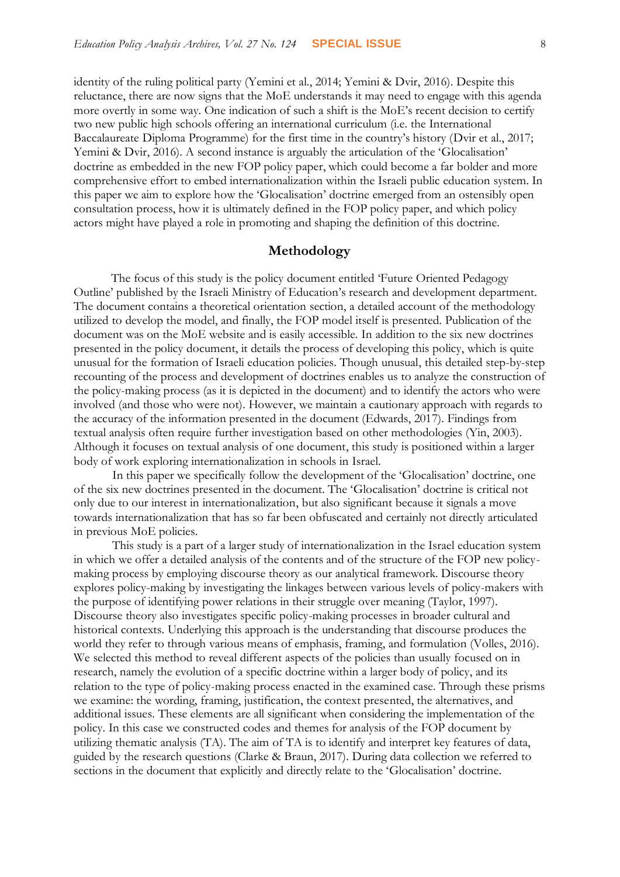identity of the ruling political party (Yemini et al., 2014; Yemini & Dvir, 2016). Despite this reluctance, there are now signs that the MoE understands it may need to engage with this agenda more overtly in some way. One indication of such a shift is the MoE's recent decision to certify two new public high schools offering an international curriculum (i.e. the International Baccalaureate Diploma Programme) for the first time in the country's history (Dvir et al., 2017; Yemini & Dvir, 2016). A second instance is arguably the articulation of the 'Glocalisation' doctrine as embedded in the new FOP policy paper, which could become a far bolder and more comprehensive effort to embed internationalization within the Israeli public education system. In this paper we aim to explore how the 'Glocalisation' doctrine emerged from an ostensibly open consultation process, how it is ultimately defined in the FOP policy paper, and which policy actors might have played a role in promoting and shaping the definition of this doctrine.

#### **Methodology**

The focus of this study is the policy document entitled 'Future Oriented Pedagogy Outline' published by the Israeli Ministry of Education's research and development department. The document contains a theoretical orientation section, a detailed account of the methodology utilized to develop the model, and finally, the FOP model itself is presented. Publication of the document was on the MoE website and is easily accessible. In addition to the six new doctrines presented in the policy document, it details the process of developing this policy, which is quite unusual for the formation of Israeli education policies. Though unusual, this detailed step-by-step recounting of the process and development of doctrines enables us to analyze the construction of the policy-making process (as it is depicted in the document) and to identify the actors who were involved (and those who were not). However, we maintain a cautionary approach with regards to the accuracy of the information presented in the document (Edwards, 2017). Findings from textual analysis often require further investigation based on other methodologies (Yin, 2003). Although it focuses on textual analysis of one document, this study is positioned within a larger body of work exploring internationalization in schools in Israel.

In this paper we specifically follow the development of the 'Glocalisation' doctrine, one of the six new doctrines presented in the document. The 'Glocalisation' doctrine is critical not only due to our interest in internationalization, but also significant because it signals a move towards internationalization that has so far been obfuscated and certainly not directly articulated in previous MoE policies.

This study is a part of a larger study of internationalization in the Israel education system in which we offer a detailed analysis of the contents and of the structure of the FOP new policymaking process by employing discourse theory as our analytical framework. Discourse theory explores policy-making by investigating the linkages between various levels of policy-makers with the purpose of identifying power relations in their struggle over meaning (Taylor, 1997). Discourse theory also investigates specific policy-making processes in broader cultural and historical contexts. Underlying this approach is the understanding that discourse produces the world they refer to through various means of emphasis, framing, and formulation (Volles, 2016). We selected this method to reveal different aspects of the policies than usually focused on in research, namely the evolution of a specific doctrine within a larger body of policy, and its relation to the type of policy-making process enacted in the examined case. Through these prisms we examine: the wording, framing, justification, the context presented, the alternatives, and additional issues. These elements are all significant when considering the implementation of the policy. In this case we constructed codes and themes for analysis of the FOP document by utilizing thematic analysis (TA). The aim of TA is to identify and interpret key features of data, guided by the research questions (Clarke & Braun, 2017). During data collection we referred to sections in the document that explicitly and directly relate to the 'Glocalisation' doctrine.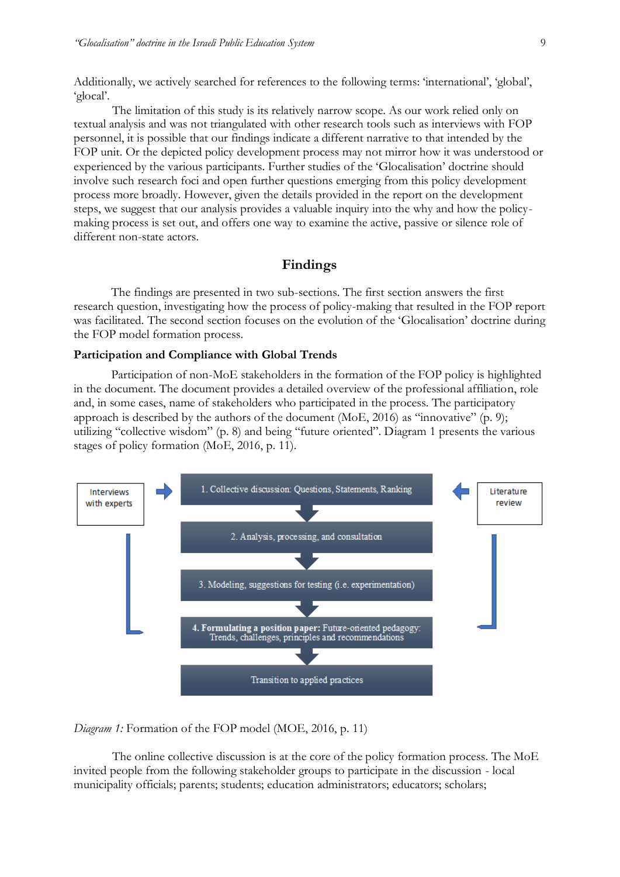Additionally, we actively searched for references to the following terms: 'international', 'global', 'glocal'.

The limitation of this study is its relatively narrow scope. As our work relied only on textual analysis and was not triangulated with other research tools such as interviews with FOP personnel, it is possible that our findings indicate a different narrative to that intended by the FOP unit. Or the depicted policy development process may not mirror how it was understood or experienced by the various participants. Further studies of the 'Glocalisation' doctrine should involve such research foci and open further questions emerging from this policy development process more broadly. However, given the details provided in the report on the development steps, we suggest that our analysis provides a valuable inquiry into the why and how the policymaking process is set out, and offers one way to examine the active, passive or silence role of different non-state actors.

## **Findings**

The findings are presented in two sub-sections. The first section answers the first research question, investigating how the process of policy-making that resulted in the FOP report was facilitated. The second section focuses on the evolution of the 'Glocalisation' doctrine during the FOP model formation process.

#### **Participation and Compliance with Global Trends**

Participation of non-MoE stakeholders in the formation of the FOP policy is highlighted in the document. The document provides a detailed overview of the professional affiliation, role and, in some cases, name of stakeholders who participated in the process. The participatory approach is described by the authors of the document (MoE, 2016) as "innovative" (p. 9); utilizing "collective wisdom" (p. 8) and being "future oriented". Diagram 1 presents the various stages of policy formation (MoE, 2016, p. 11).



*Diagram 1:* Formation of the FOP model (MOE, 2016, p. 11)

The online collective discussion is at the core of the policy formation process. The MoE invited people from the following stakeholder groups to participate in the discussion - local municipality officials; parents; students; education administrators; educators; scholars;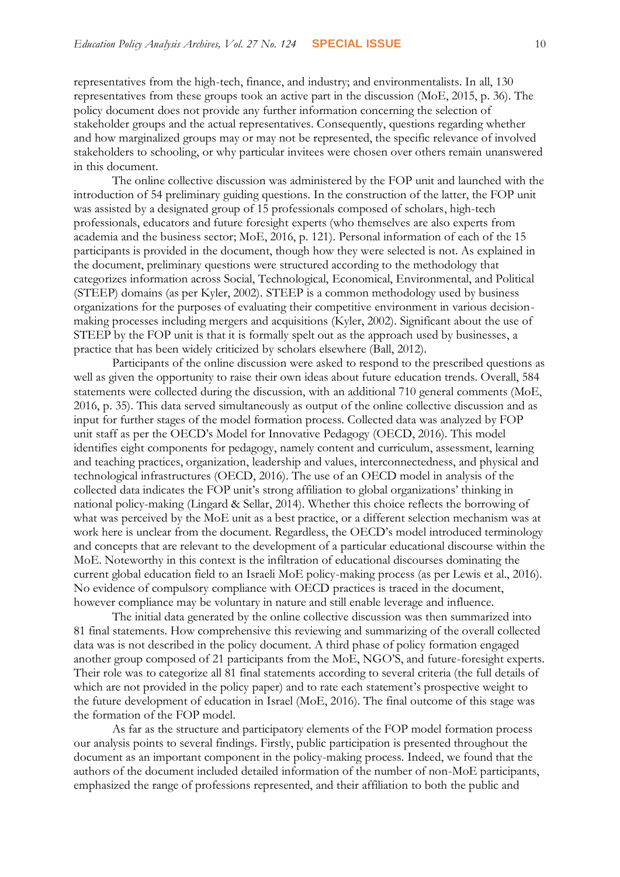representatives from the high-tech, finance, and industry; and environmentalists. In all, 130 representatives from these groups took an active part in the discussion (MoE, 2015, p. 36). The policy document does not provide any further information concerning the selection of stakeholder groups and the actual representatives. Consequently, questions regarding whether and how marginalized groups may or may not be represented, the specific relevance of involved stakeholders to schooling, or why particular invitees were chosen over others remain unanswered in this document.

The online collective discussion was administered by the FOP unit and launched with the introduction of 54 preliminary guiding questions. In the construction of the latter, the FOP unit was assisted by a designated group of 15 professionals composed of scholars, high-tech professionals, educators and future foresight experts (who themselves are also experts from academia and the business sector; MoE, 2016, p. 121). Personal information of each of the 15 participants is provided in the document, though how they were selected is not. As explained in the document, preliminary questions were structured according to the methodology that categorizes information across Social, Technological, Economical, Environmental, and Political (STEEP) domains (as per Kyler, 2002). STEEP is a common methodology used by business organizations for the purposes of evaluating their competitive environment in various decisionmaking processes including mergers and acquisitions (Kyler, 2002). Significant about the use of STEEP by the FOP unit is that it is formally spelt out as the approach used by businesses, a practice that has been widely criticized by scholars elsewhere (Ball, 2012).

Participants of the online discussion were asked to respond to the prescribed questions as well as given the opportunity to raise their own ideas about future education trends. Overall, 584 statements were collected during the discussion, with an additional 710 general comments (MoE, 2016, p. 35). This data served simultaneously as output of the online collective discussion and as input for further stages of the model formation process. Collected data was analyzed by FOP unit staff as per the OECD's Model for Innovative Pedagogy (OECD, 2016). This model identifies eight components for pedagogy, namely content and curriculum, assessment, learning and teaching practices, organization, leadership and values, interconnectedness, and physical and technological infrastructures (OECD, 2016). The use of an OECD model in analysis of the collected data indicates the FOP unit's strong affiliation to global organizations' thinking in national policy-making (Lingard & Sellar, 2014). Whether this choice reflects the borrowing of what was perceived by the MoE unit as a best practice, or a different selection mechanism was at work here is unclear from the document. Regardless, the OECD's model introduced terminology and concepts that are relevant to the development of a particular educational discourse within the MoE. Noteworthy in this context is the infiltration of educational discourses dominating the current global education field to an Israeli MoE policy-making process (as per Lewis et al., 2016). No evidence of compulsory compliance with OECD practices is traced in the document, however compliance may be voluntary in nature and still enable leverage and influence.

The initial data generated by the online collective discussion was then summarized into 81 final statements. How comprehensive this reviewing and summarizing of the overall collected data was is not described in the policy document. A third phase of policy formation engaged another group composed of 21 participants from the MoE, NGO'S, and future-foresight experts. Their role was to categorize all 81 final statements according to several criteria (the full details of which are not provided in the policy paper) and to rate each statement's prospective weight to the future development of education in Israel (MoE, 2016). The final outcome of this stage was the formation of the FOP model.

As far as the structure and participatory elements of the FOP model formation process our analysis points to several findings. Firstly, public participation is presented throughout the document as an important component in the policy-making process. Indeed, we found that the authors of the document included detailed information of the number of non-MoE participants, emphasized the range of professions represented, and their affiliation to both the public and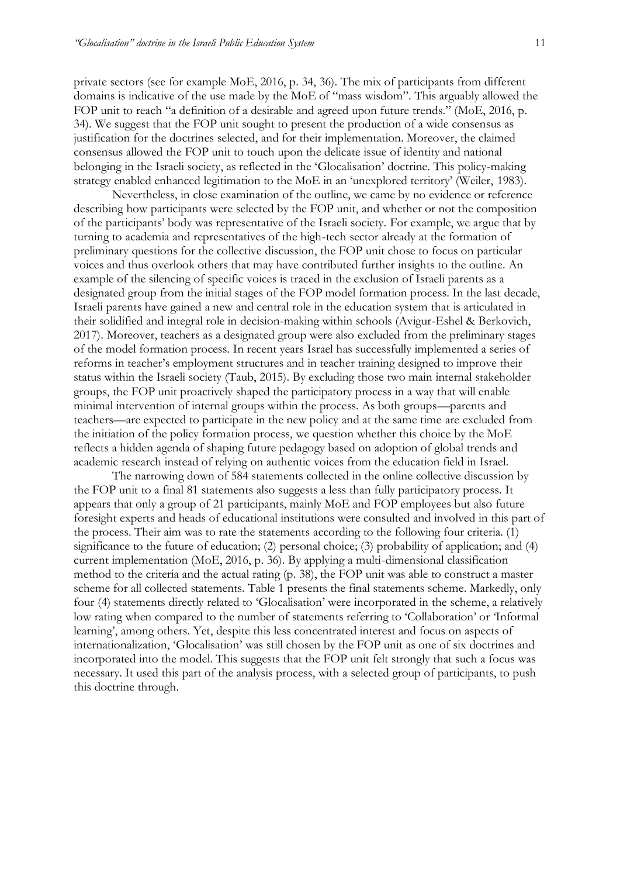private sectors (see for example MoE, 2016, p. 34, 36). The mix of participants from different domains is indicative of the use made by the MoE of "mass wisdom". This arguably allowed the FOP unit to reach "a definition of a desirable and agreed upon future trends." (MoE, 2016, p. 34). We suggest that the FOP unit sought to present the production of a wide consensus as justification for the doctrines selected, and for their implementation. Moreover, the claimed consensus allowed the FOP unit to touch upon the delicate issue of identity and national belonging in the Israeli society, as reflected in the 'Glocalisation' doctrine. This policy-making strategy enabled enhanced legitimation to the MoE in an 'unexplored territory' (Weiler, 1983).

Nevertheless, in close examination of the outline, we came by no evidence or reference describing how participants were selected by the FOP unit, and whether or not the composition of the participants' body was representative of the Israeli society. For example, we argue that by turning to academia and representatives of the high-tech sector already at the formation of preliminary questions for the collective discussion, the FOP unit chose to focus on particular voices and thus overlook others that may have contributed further insights to the outline. An example of the silencing of specific voices is traced in the exclusion of Israeli parents as a designated group from the initial stages of the FOP model formation process. In the last decade, Israeli parents have gained a new and central role in the education system that is articulated in their solidified and integral role in decision-making within schools (Avigur-Eshel & Berkovich, 2017). Moreover, teachers as a designated group were also excluded from the preliminary stages of the model formation process. In recent years Israel has successfully implemented a series of reforms in teacher's employment structures and in teacher training designed to improve their status within the Israeli society (Taub, 2015). By excluding those two main internal stakeholder groups, the FOP unit proactively shaped the participatory process in a way that will enable minimal intervention of internal groups within the process. As both groups—parents and teachers—are expected to participate in the new policy and at the same time are excluded from the initiation of the policy formation process, we question whether this choice by the MoE reflects a hidden agenda of shaping future pedagogy based on adoption of global trends and academic research instead of relying on authentic voices from the education field in Israel.

The narrowing down of 584 statements collected in the online collective discussion by the FOP unit to a final 81 statements also suggests a less than fully participatory process. It appears that only a group of 21 participants, mainly MoE and FOP employees but also future foresight experts and heads of educational institutions were consulted and involved in this part of the process. Their aim was to rate the statements according to the following four criteria. (1) significance to the future of education; (2) personal choice; (3) probability of application; and (4) current implementation (MoE, 2016, p. 36). By applying a multi-dimensional classification method to the criteria and the actual rating (p. 38), the FOP unit was able to construct a master scheme for all collected statements. Table 1 presents the final statements scheme. Markedly, only four (4) statements directly related to 'Glocalisation' were incorporated in the scheme, a relatively low rating when compared to the number of statements referring to 'Collaboration' or 'Informal learning', among others. Yet, despite this less concentrated interest and focus on aspects of internationalization, 'Glocalisation' was still chosen by the FOP unit as one of six doctrines and incorporated into the model. This suggests that the FOP unit felt strongly that such a focus was necessary. It used this part of the analysis process, with a selected group of participants, to push this doctrine through.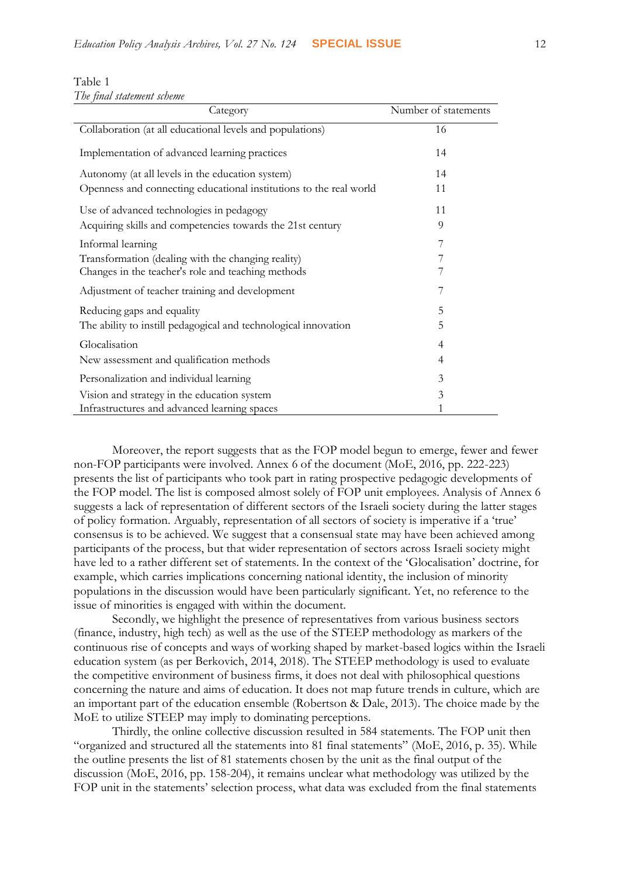| Table T                    |  |
|----------------------------|--|
| The final statement scheme |  |

 $T<sub>T</sub>$ 

| Category                                                           | Number of statements |
|--------------------------------------------------------------------|----------------------|
| Collaboration (at all educational levels and populations)          | 16                   |
| Implementation of advanced learning practices                      | 14                   |
| Autonomy (at all levels in the education system)                   | 14                   |
| Openness and connecting educational institutions to the real world | 11                   |
| Use of advanced technologies in pedagogy                           | 11                   |
| Acquiring skills and competencies towards the 21st century         | 9                    |
| Informal learning                                                  | 7                    |
| Transformation (dealing with the changing reality)                 | 7                    |
| Changes in the teacher's role and teaching methods                 |                      |
| Adjustment of teacher training and development                     |                      |
| Reducing gaps and equality                                         | 5                    |
| The ability to instill pedagogical and technological innovation    | 5                    |
| Glocalisation                                                      | 4                    |
| New assessment and qualification methods                           | 4                    |
| Personalization and individual learning                            | 3                    |
| Vision and strategy in the education system                        | 3                    |
| Infrastructures and advanced learning spaces                       |                      |

Moreover, the report suggests that as the FOP model begun to emerge, fewer and fewer non-FOP participants were involved. Annex 6 of the document (MoE, 2016, pp. 222-223) presents the list of participants who took part in rating prospective pedagogic developments of the FOP model. The list is composed almost solely of FOP unit employees. Analysis of Annex 6 suggests a lack of representation of different sectors of the Israeli society during the latter stages of policy formation. Arguably, representation of all sectors of society is imperative if a 'true' consensus is to be achieved. We suggest that a consensual state may have been achieved among participants of the process, but that wider representation of sectors across Israeli society might have led to a rather different set of statements. In the context of the 'Glocalisation' doctrine, for example, which carries implications concerning national identity, the inclusion of minority populations in the discussion would have been particularly significant. Yet, no reference to the issue of minorities is engaged with within the document.

Secondly, we highlight the presence of representatives from various business sectors (finance, industry, high tech) as well as the use of the STEEP methodology as markers of the continuous rise of concepts and ways of working shaped by market-based logics within the Israeli education system (as per Berkovich, 2014, 2018). The STEEP methodology is used to evaluate the competitive environment of business firms, it does not deal with philosophical questions concerning the nature and aims of education. It does not map future trends in culture, which are an important part of the education ensemble (Robertson & Dale, 2013). The choice made by the MoE to utilize STEEP may imply to dominating perceptions.

Thirdly, the online collective discussion resulted in 584 statements. The FOP unit then "organized and structured all the statements into 81 final statements" (MoE, 2016, p. 35). While the outline presents the list of 81 statements chosen by the unit as the final output of the discussion (MoE, 2016, pp. 158-204), it remains unclear what methodology was utilized by the FOP unit in the statements' selection process, what data was excluded from the final statements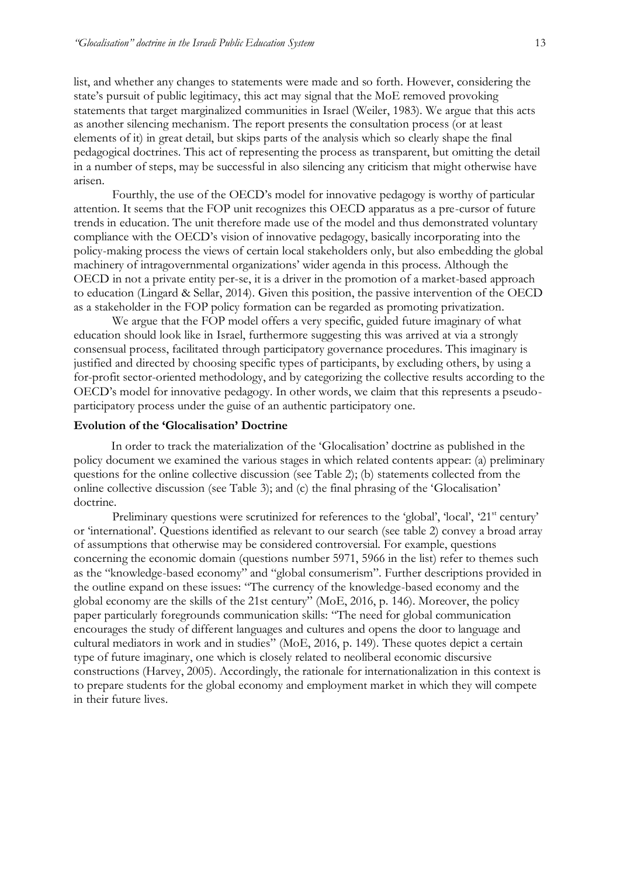list, and whether any changes to statements were made and so forth. However, considering the state's pursuit of public legitimacy, this act may signal that the MoE removed provoking statements that target marginalized communities in Israel (Weiler, 1983). We argue that this acts as another silencing mechanism. The report presents the consultation process (or at least elements of it) in great detail, but skips parts of the analysis which so clearly shape the final pedagogical doctrines. This act of representing the process as transparent, but omitting the detail in a number of steps, may be successful in also silencing any criticism that might otherwise have arisen.

Fourthly, the use of the OECD's model for innovative pedagogy is worthy of particular attention. It seems that the FOP unit recognizes this OECD apparatus as a pre-cursor of future trends in education. The unit therefore made use of the model and thus demonstrated voluntary compliance with the OECD's vision of innovative pedagogy, basically incorporating into the policy-making process the views of certain local stakeholders only, but also embedding the global machinery of intragovernmental organizations' wider agenda in this process. Although the OECD in not a private entity per-se, it is a driver in the promotion of a market-based approach to education (Lingard & Sellar, 2014). Given this position, the passive intervention of the OECD as a stakeholder in the FOP policy formation can be regarded as promoting privatization.

We argue that the FOP model offers a very specific, guided future imaginary of what education should look like in Israel, furthermore suggesting this was arrived at via a strongly consensual process, facilitated through participatory governance procedures. This imaginary is justified and directed by choosing specific types of participants, by excluding others, by using a for-profit sector-oriented methodology, and by categorizing the collective results according to the OECD's model for innovative pedagogy. In other words, we claim that this represents a pseudoparticipatory process under the guise of an authentic participatory one.

#### **Evolution of the 'Glocalisation' Doctrine**

In order to track the materialization of the 'Glocalisation' doctrine as published in the policy document we examined the various stages in which related contents appear: (a) preliminary questions for the online collective discussion (see Table 2); (b) statements collected from the online collective discussion (see Table 3); and (c) the final phrasing of the 'Glocalisation' doctrine.

Preliminary questions were scrutinized for references to the 'global', 'local', '21<sup>st</sup> century' or 'international'. Questions identified as relevant to our search (see table 2) convey a broad array of assumptions that otherwise may be considered controversial. For example, questions concerning the economic domain (questions number 5971, 5966 in the list) refer to themes such as the "knowledge-based economy" and "global consumerism". Further descriptions provided in the outline expand on these issues: "The currency of the knowledge-based economy and the global economy are the skills of the 21st century" (MoE, 2016, p. 146). Moreover, the policy paper particularly foregrounds communication skills: "The need for global communication encourages the study of different languages and cultures and opens the door to language and cultural mediators in work and in studies" (MoE, 2016, p. 149). These quotes depict a certain type of future imaginary, one which is closely related to neoliberal economic discursive constructions (Harvey, 2005). Accordingly, the rationale for internationalization in this context is to prepare students for the global economy and employment market in which they will compete in their future lives.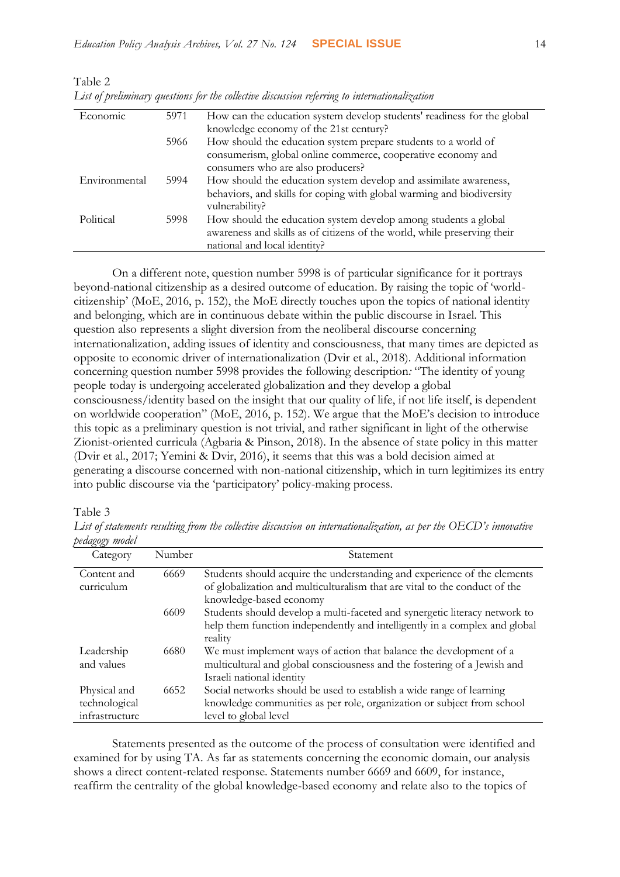| Last of pretimentally questions for the coulettel tascussion referring to internationalization |      |                                                                          |
|------------------------------------------------------------------------------------------------|------|--------------------------------------------------------------------------|
| Economic                                                                                       | 5971 | How can the education system develop students' readiness for the global  |
|                                                                                                |      | knowledge economy of the 21st century?                                   |
|                                                                                                | 5966 | How should the education system prepare students to a world of           |
|                                                                                                |      | consumerism, global online commerce, cooperative economy and             |
|                                                                                                |      | consumers who are also producers?                                        |
| Environmental                                                                                  | 5994 | How should the education system develop and assimilate awareness,        |
|                                                                                                |      | behaviors, and skills for coping with global warming and biodiversity    |
|                                                                                                |      | vulnerability?                                                           |
| Political                                                                                      | 5998 | How should the education system develop among students a global          |
|                                                                                                |      | awareness and skills as of citizens of the world, while preserving their |
|                                                                                                |      | national and local identity?                                             |

Table 2 *List of preliminary questions for the collective discussion referring to internationalization*

On a different note, question number 5998 is of particular significance for it portrays beyond-national citizenship as a desired outcome of education. By raising the topic of 'worldcitizenship' (MoE, 2016, p. 152), the MoE directly touches upon the topics of national identity and belonging, which are in continuous debate within the public discourse in Israel. This question also represents a slight diversion from the neoliberal discourse concerning internationalization, adding issues of identity and consciousness, that many times are depicted as opposite to economic driver of internationalization (Dvir et al., 2018). Additional information concerning question number 5998 provides the following description*:* "The identity of young people today is undergoing accelerated globalization and they develop a global consciousness/identity based on the insight that our quality of life, if not life itself, is dependent on worldwide cooperation" (MoE, 2016, p. 152). We argue that the MoE's decision to introduce this topic as a preliminary question is not trivial, and rather significant in light of the otherwise Zionist-oriented curricula (Agbaria & Pinson, 2018). In the absence of state policy in this matter (Dvir et al., 2017; Yemini & Dvir, 2016), it seems that this was a bold decision aimed at generating a discourse concerned with non-national citizenship, which in turn legitimizes its entry into public discourse via the 'participatory' policy-making process.

Table 3

*List of statements resulting from the collective discussion on internationalization, as per the OECD's innovative pedagogy model*

| <i>Powia</i> xy mour                            |        |                                                                                                                                                                                   |
|-------------------------------------------------|--------|-----------------------------------------------------------------------------------------------------------------------------------------------------------------------------------|
| Category                                        | Number | Statement                                                                                                                                                                         |
| Content and<br>curriculum                       | 6669   | Students should acquire the understanding and experience of the elements<br>of globalization and multiculturalism that are vital to the conduct of the<br>knowledge-based economy |
|                                                 | 6609   | Students should develop a multi-faceted and synergetic literacy network to<br>help them function independently and intelligently in a complex and global<br>reality               |
| Leadership<br>and values                        | 6680   | We must implement ways of action that balance the development of a<br>multicultural and global consciousness and the fostering of a Jewish and<br>Israeli national identity       |
| Physical and<br>technological<br>infrastructure | 6652   | Social networks should be used to establish a wide range of learning<br>knowledge communities as per role, organization or subject from school<br>level to global level           |

Statements presented as the outcome of the process of consultation were identified and examined for by using TA. As far as statements concerning the economic domain, our analysis shows a direct content-related response. Statements number 6669 and 6609, for instance, reaffirm the centrality of the global knowledge-based economy and relate also to the topics of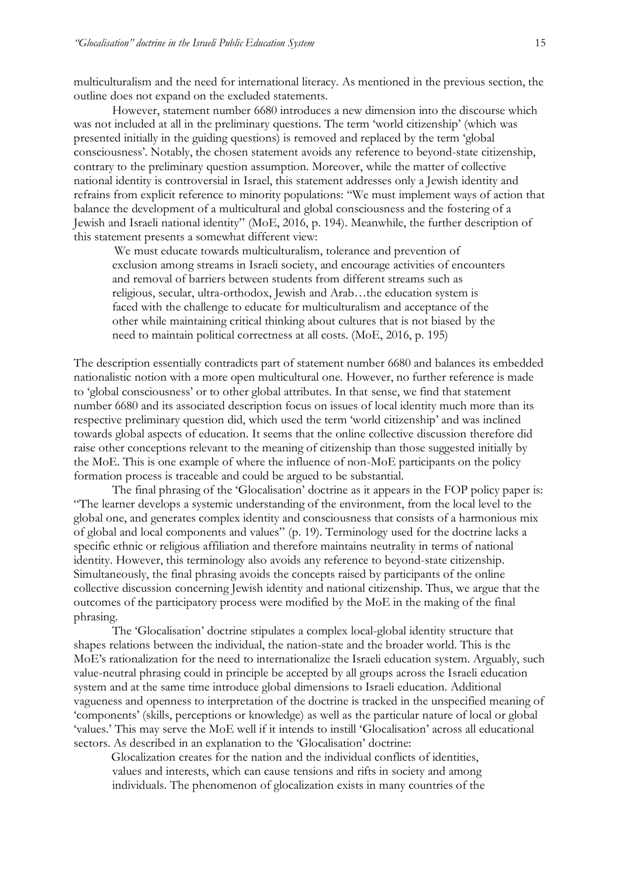multiculturalism and the need for international literacy. As mentioned in the previous section, the outline does not expand on the excluded statements.

However, statement number 6680 introduces a new dimension into the discourse which was not included at all in the preliminary questions. The term 'world citizenship' (which was presented initially in the guiding questions) is removed and replaced by the term 'global consciousness'. Notably, the chosen statement avoids any reference to beyond-state citizenship, contrary to the preliminary question assumption. Moreover, while the matter of collective national identity is controversial in Israel, this statement addresses only a Jewish identity and refrains from explicit reference to minority populations: "We must implement ways of action that balance the development of a multicultural and global consciousness and the fostering of a Jewish and Israeli national identity" (MoE, 2016, p. 194). Meanwhile, the further description of this statement presents a somewhat different view:

We must educate towards multiculturalism, tolerance and prevention of exclusion among streams in Israeli society, and encourage activities of encounters and removal of barriers between students from different streams such as religious, secular, ultra-orthodox, Jewish and Arab…the education system is faced with the challenge to educate for multiculturalism and acceptance of the other while maintaining critical thinking about cultures that is not biased by the need to maintain political correctness at all costs. (MoE, 2016, p. 195)

The description essentially contradicts part of statement number 6680 and balances its embedded nationalistic notion with a more open multicultural one. However, no further reference is made to 'global consciousness' or to other global attributes. In that sense, we find that statement number 6680 and its associated description focus on issues of local identity much more than its respective preliminary question did, which used the term 'world citizenship' and was inclined towards global aspects of education. It seems that the online collective discussion therefore did raise other conceptions relevant to the meaning of citizenship than those suggested initially by the MoE. This is one example of where the influence of non-MoE participants on the policy formation process is traceable and could be argued to be substantial.

The final phrasing of the 'Glocalisation' doctrine as it appears in the FOP policy paper is: "The learner develops a systemic understanding of the environment, from the local level to the global one, and generates complex identity and consciousness that consists of a harmonious mix of global and local components and values" (p. 19). Terminology used for the doctrine lacks a specific ethnic or religious affiliation and therefore maintains neutrality in terms of national identity. However, this terminology also avoids any reference to beyond-state citizenship. Simultaneously, the final phrasing avoids the concepts raised by participants of the online collective discussion concerning Jewish identity and national citizenship. Thus, we argue that the outcomes of the participatory process were modified by the MoE in the making of the final phrasing.

The 'Glocalisation' doctrine stipulates a complex local-global identity structure that shapes relations between the individual, the nation-state and the broader world. This is the MoE's rationalization for the need to internationalize the Israeli education system. Arguably, such value-neutral phrasing could in principle be accepted by all groups across the Israeli education system and at the same time introduce global dimensions to Israeli education. Additional vagueness and openness to interpretation of the doctrine is tracked in the unspecified meaning of 'components' (skills, perceptions or knowledge) as well as the particular nature of local or global 'values.' This may serve the MoE well if it intends to instill 'Glocalisation' across all educational sectors. As described in an explanation to the 'Glocalisation' doctrine:

Glocalization creates for the nation and the individual conflicts of identities, values and interests, which can cause tensions and rifts in society and among individuals. The phenomenon of glocalization exists in many countries of the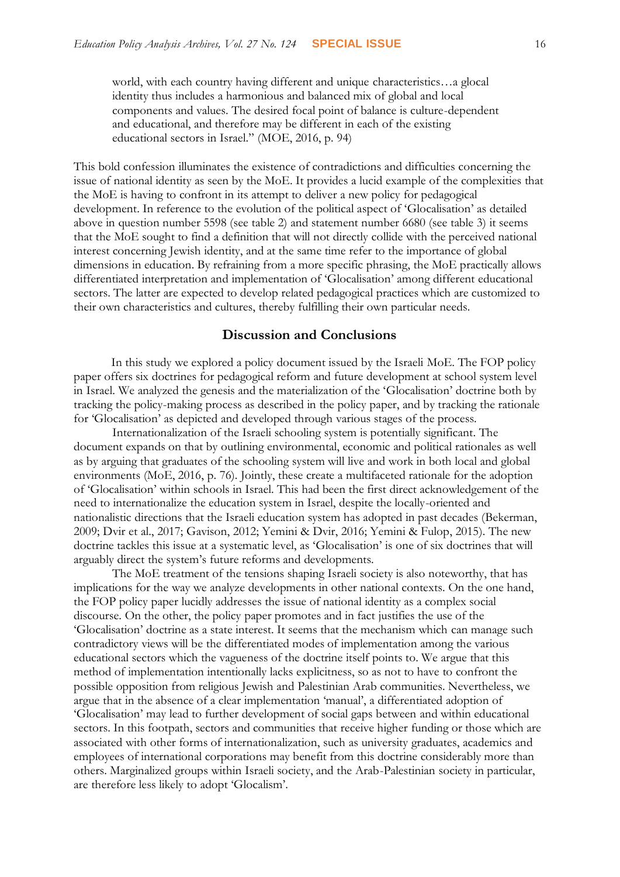world, with each country having different and unique characteristics…a glocal identity thus includes a harmonious and balanced mix of global and local components and values. The desired focal point of balance is culture-dependent and educational, and therefore may be different in each of the existing educational sectors in Israel." (MOE, 2016, p. 94)

This bold confession illuminates the existence of contradictions and difficulties concerning the issue of national identity as seen by the MoE. It provides a lucid example of the complexities that the MoE is having to confront in its attempt to deliver a new policy for pedagogical development. In reference to the evolution of the political aspect of 'Glocalisation' as detailed above in question number 5598 (see table 2) and statement number 6680 (see table 3) it seems that the MoE sought to find a definition that will not directly collide with the perceived national interest concerning Jewish identity, and at the same time refer to the importance of global dimensions in education. By refraining from a more specific phrasing, the MoE practically allows differentiated interpretation and implementation of 'Glocalisation' among different educational sectors. The latter are expected to develop related pedagogical practices which are customized to their own characteristics and cultures, thereby fulfilling their own particular needs.

# **Discussion and Conclusions**

In this study we explored a policy document issued by the Israeli MoE. The FOP policy paper offers six doctrines for pedagogical reform and future development at school system level in Israel. We analyzed the genesis and the materialization of the 'Glocalisation' doctrine both by tracking the policy-making process as described in the policy paper, and by tracking the rationale for 'Glocalisation' as depicted and developed through various stages of the process.

Internationalization of the Israeli schooling system is potentially significant. The document expands on that by outlining environmental, economic and political rationales as well as by arguing that graduates of the schooling system will live and work in both local and global environments (MoE, 2016, p. 76). Jointly, these create a multifaceted rationale for the adoption of 'Glocalisation' within schools in Israel. This had been the first direct acknowledgement of the need to internationalize the education system in Israel, despite the locally-oriented and nationalistic directions that the Israeli education system has adopted in past decades (Bekerman, 2009; Dvir et al., 2017; Gavison, 2012; Yemini & Dvir, 2016; Yemini & Fulop, 2015). The new doctrine tackles this issue at a systematic level, as 'Glocalisation' is one of six doctrines that will arguably direct the system's future reforms and developments.

The MoE treatment of the tensions shaping Israeli society is also noteworthy, that has implications for the way we analyze developments in other national contexts. On the one hand, the FOP policy paper lucidly addresses the issue of national identity as a complex social discourse. On the other, the policy paper promotes and in fact justifies the use of the 'Glocalisation' doctrine as a state interest. It seems that the mechanism which can manage such contradictory views will be the differentiated modes of implementation among the various educational sectors which the vagueness of the doctrine itself points to. We argue that this method of implementation intentionally lacks explicitness, so as not to have to confront the possible opposition from religious Jewish and Palestinian Arab communities. Nevertheless, we argue that in the absence of a clear implementation 'manual', a differentiated adoption of 'Glocalisation' may lead to further development of social gaps between and within educational sectors. In this footpath, sectors and communities that receive higher funding or those which are associated with other forms of internationalization, such as university graduates, academics and employees of international corporations may benefit from this doctrine considerably more than others. Marginalized groups within Israeli society, and the Arab-Palestinian society in particular, are therefore less likely to adopt 'Glocalism'.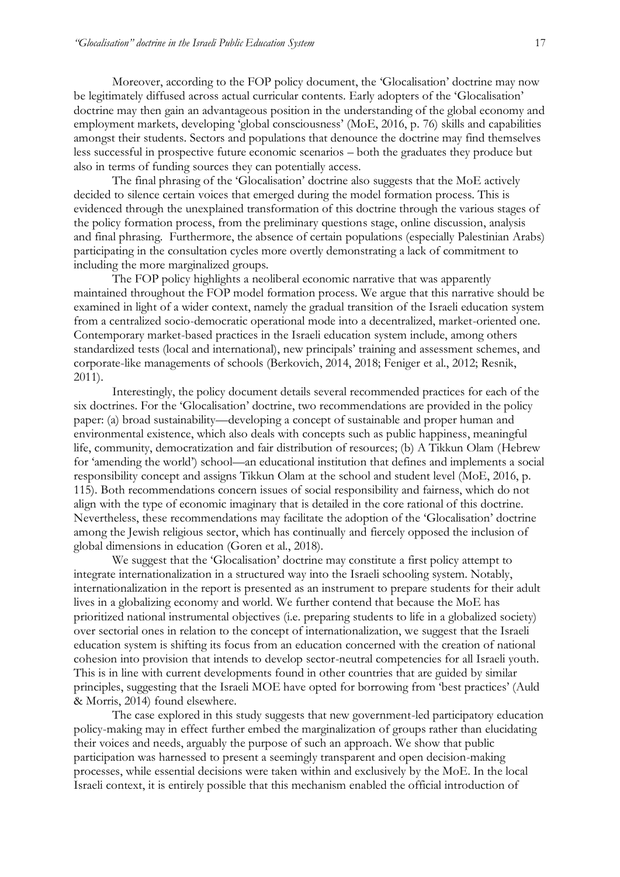Moreover, according to the FOP policy document, the 'Glocalisation' doctrine may now be legitimately diffused across actual curricular contents. Early adopters of the 'Glocalisation' doctrine may then gain an advantageous position in the understanding of the global economy and employment markets, developing 'global consciousness' (MoE, 2016, p. 76) skills and capabilities amongst their students. Sectors and populations that denounce the doctrine may find themselves less successful in prospective future economic scenarios – both the graduates they produce but also in terms of funding sources they can potentially access.

The final phrasing of the 'Glocalisation' doctrine also suggests that the MoE actively decided to silence certain voices that emerged during the model formation process. This is evidenced through the unexplained transformation of this doctrine through the various stages of the policy formation process, from the preliminary questions stage, online discussion, analysis and final phrasing. Furthermore, the absence of certain populations (especially Palestinian Arabs) participating in the consultation cycles more overtly demonstrating a lack of commitment to including the more marginalized groups.

The FOP policy highlights a neoliberal economic narrative that was apparently maintained throughout the FOP model formation process. We argue that this narrative should be examined in light of a wider context, namely the gradual transition of the Israeli education system from a centralized socio-democratic operational mode into a decentralized, market-oriented one. Contemporary market-based practices in the Israeli education system include, among others standardized tests (local and international), new principals' training and assessment schemes, and corporate-like managements of schools (Berkovich, 2014, 2018; Feniger et al., 2012; Resnik, 2011).

Interestingly, the policy document details several recommended practices for each of the six doctrines. For the 'Glocalisation' doctrine, two recommendations are provided in the policy paper: (a) broad sustainability—developing a concept of sustainable and proper human and environmental existence, which also deals with concepts such as public happiness, meaningful life, community, democratization and fair distribution of resources; (b) A Tikkun Olam (Hebrew for 'amending the world') school—an educational institution that defines and implements a social responsibility concept and assigns Tikkun Olam at the school and student level (MoE, 2016, p. 115). Both recommendations concern issues of social responsibility and fairness, which do not align with the type of economic imaginary that is detailed in the core rational of this doctrine. Nevertheless, these recommendations may facilitate the adoption of the 'Glocalisation' doctrine among the Jewish religious sector, which has continually and fiercely opposed the inclusion of global dimensions in education (Goren et al., 2018).

We suggest that the 'Glocalisation' doctrine may constitute a first policy attempt to integrate internationalization in a structured way into the Israeli schooling system. Notably, internationalization in the report is presented as an instrument to prepare students for their adult lives in a globalizing economy and world. We further contend that because the MoE has prioritized national instrumental objectives (i.e. preparing students to life in a globalized society) over sectorial ones in relation to the concept of internationalization, we suggest that the Israeli education system is shifting its focus from an education concerned with the creation of national cohesion into provision that intends to develop sector-neutral competencies for all Israeli youth. This is in line with current developments found in other countries that are guided by similar principles, suggesting that the Israeli MOE have opted for borrowing from 'best practices' (Auld & Morris, 2014) found elsewhere.

The case explored in this study suggests that new government-led participatory education policy-making may in effect further embed the marginalization of groups rather than elucidating their voices and needs, arguably the purpose of such an approach. We show that public participation was harnessed to present a seemingly transparent and open decision-making processes, while essential decisions were taken within and exclusively by the MoE. In the local Israeli context, it is entirely possible that this mechanism enabled the official introduction of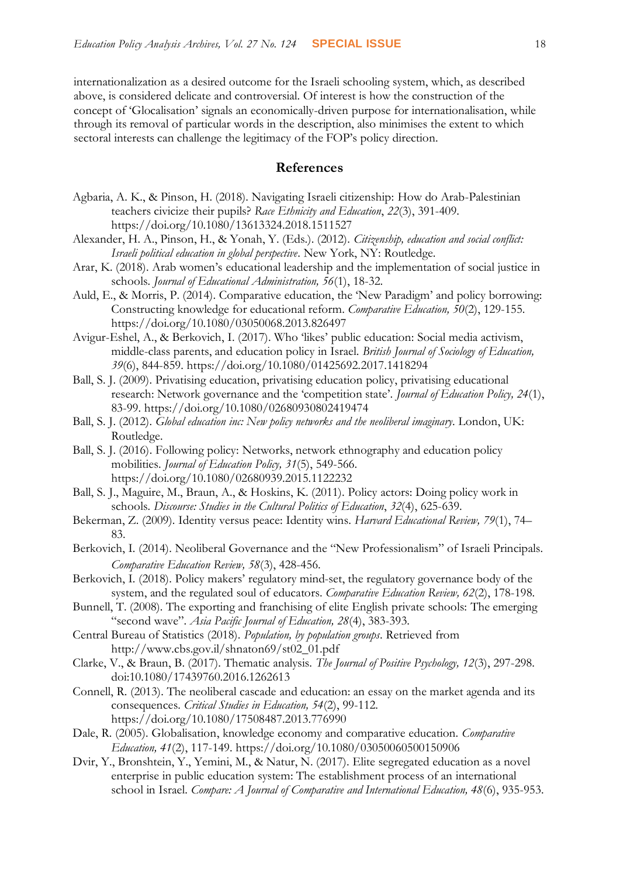internationalization as a desired outcome for the Israeli schooling system, which, as described above, is considered delicate and controversial. Of interest is how the construction of the concept of 'Glocalisation' signals an economically-driven purpose for internationalisation, while through its removal of particular words in the description, also minimises the extent to which sectoral interests can challenge the legitimacy of the FOP's policy direction.

# **References**

- Agbaria, A. K., & Pinson, H. (2018). Navigating Israeli citizenship: How do Arab-Palestinian teachers civicize their pupils? *Race Ethnicity and Education*, *22*(3), 391-409. <https://doi.org/10.1080/13613324.2018.1511527>
- Alexander, H. A., Pinson, H., & Yonah, Y. (Eds.). (2012). *Citizenship, education and social conflict: Israeli political education in global perspective*. New York, NY: Routledge.
- Arar, K. (2018). Arab women's educational leadership and the implementation of social justice in schools. *Journal of Educational Administration, 56*(1), 18-32.
- Auld, E., & Morris, P. (2014). Comparative education, the 'New Paradigm' and policy borrowing: Constructing knowledge for educational reform. *Comparative Education, 50*(2), 129-155. <https://doi.org/10.1080/03050068.2013.826497>

Avigur-Eshel, A., & Berkovich, I. (2017). Who 'likes' public education: Social media activism, middle-class parents, and education policy in Israel. *British Journal of Sociology of Education, 39*(6), 844-859.<https://doi.org/10.1080/01425692.2017.1418294>

- Ball, S. J. (2009). Privatising education, privatising education policy, privatising educational research: Network governance and the 'competition state'. *Journal of Education Policy, 24*(1), 83-99.<https://doi.org/10.1080/02680930802419474>
- Ball, S. J. (2012). *Global education inc: New policy networks and the neoliberal imaginary*. London, UK: Routledge.
- Ball, S. J. (2016). Following policy: Networks, network ethnography and education policy mobilities. *Journal of Education Policy, 31*(5), 549-566. <https://doi.org/10.1080/02680939.2015.1122232>
- Ball, S. J., Maguire, M., Braun, A., & Hoskins, K. (2011). Policy actors: Doing policy work in schools. *Discourse: Studies in the Cultural Politics of Education*, *32*(4), 625-639.
- Bekerman, Z. (2009). Identity versus peace: Identity wins. *Harvard Educational Review, 79*(1), 74– 83.
- Berkovich, I. (2014). Neoliberal Governance and the "New Professionalism" of Israeli Principals. *Comparative Education Review, 58*(3), 428-456.
- Berkovich, I. (2018). Policy makers' regulatory mind-set, the regulatory governance body of the system, and the regulated soul of educators. *Comparative Education Review, 62*(2), 178-198.
- Bunnell, T. (2008). The exporting and franchising of elite English private schools: The emerging "second wave". *Asia Pacific Journal of Education, 28*(4), 383-393.

Central Bureau of Statistics (2018). *Population, by population groups*. Retrieved from [http://www.cbs.gov.il/shnaton69/st02\\_01.pdf](http://www.cbs.gov.il/shnaton69/st02_01.pdf)

Clarke, V., & Braun, B. (2017). Thematic analysis. *The Journal of Positive Psychology, 12*(3), 297-298. doi:10.1080/17439760.2016.1262613

- Connell, R. (2013). The neoliberal cascade and education: an essay on the market agenda and its consequences. *Critical Studies in Education, 54*(2), 99-112. <https://doi.org/10.1080/17508487.2013.776990>
- Dale, R. (2005). Globalisation, knowledge economy and comparative education. *Comparative Education, 41*(2), 117-149. <https://doi.org/10.1080/03050060500150906>
- Dvir, Y., Bronshtein, Y., Yemini, M., & Natur, N. (2017). Elite segregated education as a novel enterprise in public education system: The establishment process of an international school in Israel. *Compare: A Journal of Comparative and International Education, 48*(6), 935-953.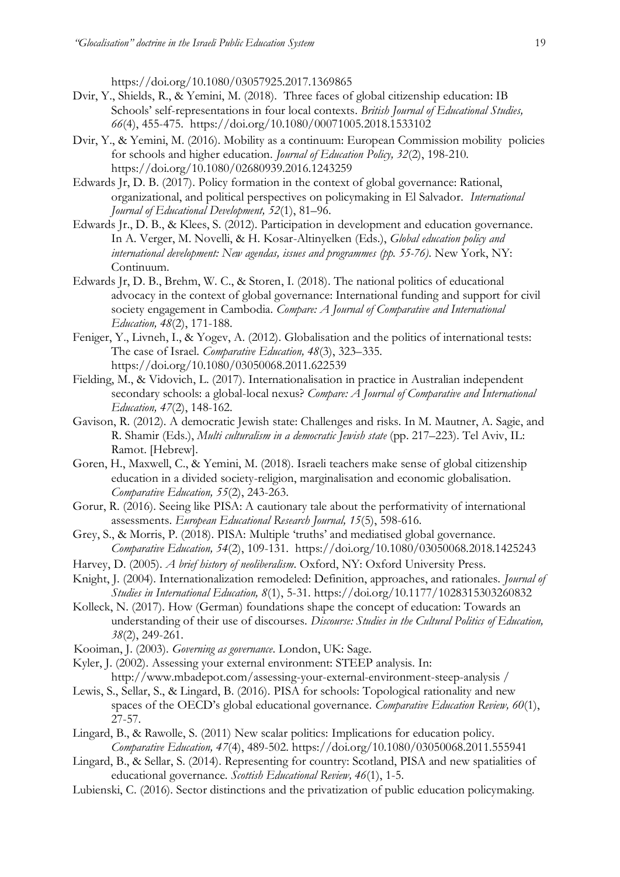<https://doi.org/10.1080/03057925.2017.1369865>

- Dvir, Y., Shields, R., & Yemini, M. (2018). [Three faces of global citizenship education: IB](https://www.researchgate.net/project/publication/327680080_Local_interpretation_of_international_education_IB_schools%27_self-representations_in_four_national_contexts?_iepl%5BviewId%5D=Vlyl2oB9mSdyZziLmywNWb6P&_iepl%5Bcontexts%5D%5B0%5D=projectUpdatesLog&_iepl%5BtargetEntityId%5D=PB%3A327680080&_iepl%5BinteractionType%5D=publicationTitle)  Schools' self[-representations in four local contexts.](https://www.researchgate.net/project/publication/327680080_Local_interpretation_of_international_education_IB_schools%27_self-representations_in_four_national_contexts?_iepl%5BviewId%5D=Vlyl2oB9mSdyZziLmywNWb6P&_iepl%5Bcontexts%5D%5B0%5D=projectUpdatesLog&_iepl%5BtargetEntityId%5D=PB%3A327680080&_iepl%5BinteractionType%5D=publicationTitle) *British Journal of Educational Studies, 66*(4), 455-475.<https://doi.org/10.1080/00071005.2018.1533102>
- Dvir, Y., & Yemini, M. (2016). Mobility as a continuum: European Commission mobility policies for schools and higher education. *Journal of Education Policy, 32*(2), 198-210. <https://doi.org/10.1080/02680939.2016.1243259>
- Edwards Jr, D. B. (2017). Policy formation in the context of global governance: Rational, organizational, and political perspectives on policymaking in El Salvador. *International Journal of Educational Development, 52*(1), 81–96.
- Edwards Jr., D. B., & Klees, S. (2012). Participation in development and education governance. In A. Verger, M. Novelli, & H. Kosar-Altinyelken (Eds.), *Global education policy and international development: New agendas, issues and programmes (pp. 55-76)*. New York, NY: Continuum.
- Edwards Jr, D. B., Brehm, W. C., & Storen, I. (2018). The national politics of educational advocacy in the context of global governance: International funding and support for civil society engagement in Cambodia. *Compare: A Journal of Comparative and International Education, 48*(2), 171-188.
- Feniger, Y., Livneh, I., & Yogev, A. (2012). Globalisation and the politics of international tests: The case of Israel. *Comparative Education, 48*(3), 323–335. <https://doi.org/10.1080/03050068.2011.622539>
- Fielding, M., & Vidovich, L. (2017). Internationalisation in practice in Australian independent secondary schools: a global-local nexus? *Compare: A Journal of Comparative and International Education, 47*(2), 148-162.
- Gavison, R. (2012). A democratic Jewish state: Challenges and risks. In M. Mautner, A. Sagie, and R. Shamir (Eds.), *Multi culturalism in a democratic Jewish state* (pp. 217–223). Tel Aviv, IL: Ramot. [Hebrew].
- Goren, H., Maxwell, C., & Yemini, M. (2018). Israeli teachers make sense of global citizenship education in a divided society-religion, marginalisation and economic globalisation. *Comparative Education, 55*(2), 243-263.
- Gorur, R. (2016). Seeing like PISA: A cautionary tale about the performativity of international assessments. *European Educational Research Journal, 15*(5), 598-616.
- Grey, S., & Morris, P. (2018). PISA: Multiple 'truths' and mediatised global governance. *Comparative Education, 54*(2), 109-131. <https://doi.org/10.1080/03050068.2018.1425243>
- Harvey, D. (2005). *A brief history of neoliberalism*. Oxford, NY: Oxford University Press.
- Knight, J. (2004). Internationalization remodeled: Definition, approaches, and rationales. *Journal of Studies in International Education, 8*(1), 5-31.<https://doi.org/10.1177/1028315303260832>
- Kolleck, N. (2017). How (German) foundations shape the concept of education: Towards an understanding of their use of discourses. *Discourse: Studies in the Cultural Politics of Education, 38*(2), 249-261.
- Kooiman, J. (2003). *Governing as governance*. London, UK: Sage.
- Kyler, J. (2002). Assessing your external environment: STEEP analysis. In: <http://www.mbadepot.com/assessing-your-external-environment-steep-analysis> /
- Lewis, S., Sellar, S., & Lingard, B. (2016). PISA for schools: Topological rationality and new spaces of the OECD's global educational governance. *Comparative Education Review, 60*(1), 27-57.
- Lingard, B., & Rawolle, S. (2011) New scalar politics: Implications for education policy. *Comparative Education, 47*(4), 489-502.<https://doi.org/10.1080/03050068.2011.555941>
- Lingard, B., & Sellar, S. (2014). Representing for country: Scotland, PISA and new spatialities of educational governance. *Scottish Educational Review, 46*(1), 1-5.
- Lubienski, C. (2016). Sector distinctions and the privatization of public education policymaking.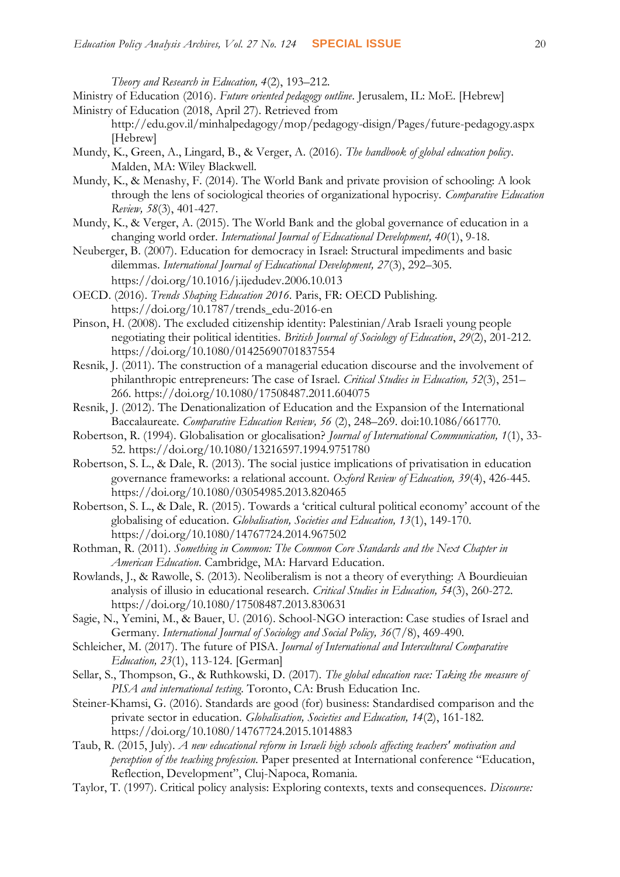*Theory and Research in Education, 4*(2), 193–212.

Ministry of Education (2016). *Future oriented pedagogy outline*. Jerusalem, IL: MoE. [Hebrew] Ministry of Education (2018, April 27). Retrieved from

- <http://edu.gov.il/minhalpedagogy/mop/pedagogy-disign/Pages/future-pedagogy.aspx> [Hebrew]
- Mundy, K., Green, A., Lingard, B., & Verger, A. (2016). *The handbook of global education policy*. Malden, MA: Wiley Blackwell.
- Mundy, K., & Menashy, F. (2014). The World Bank and private provision of schooling: A look through the lens of sociological theories of organizational hypocrisy. *Comparative Education Review, 58*(3), 401-427.
- Mundy, K., & Verger, A. (2015). The World Bank and the global governance of education in a changing world order. *International Journal of Educational Development, 40*(1), 9-18.
- Neuberger, B. (2007). Education for democracy in Israel: Structural impediments and basic dilemmas. *International Journal of Educational Development, 27*(3), 292–305. <https://doi.org/10.1016/j.ijedudev.2006.10.013>
- OECD. (2016). *Trends Shaping Education 2016*. Paris, FR: OECD Publishing. [https://doi.org/10.1787/trends\\_edu-2016-en](https://doi.org/10.1787/trends_edu-2016-en)
- Pinson, H. (2008). The excluded citizenship identity: Palestinian/Arab Israeli young people negotiating their political identities. *British Journal of Sociology of Education*, *29*(2), 201-212. <https://doi.org/10.1080/01425690701837554>
- Resnik, J. (2011). The construction of a managerial education discourse and the involvement of philanthropic entrepreneurs: The case of Israel. *Critical Studies in Education, 52*(3), 251– 266. <https://doi.org/10.1080/17508487.2011.604075>
- Resnik, J. (2012). The Denationalization of Education and the Expansion of the International Baccalaureate. *Comparative Education Review, 56* (2), 248–269. doi:10.1086/661770.
- Robertson, R. (1994). Globalisation or glocalisation? *Journal of International Communication, 1*(1), 33- 52.<https://doi.org/10.1080/13216597.1994.9751780>
- Robertson, S. L., & Dale, R. (2013). The social justice implications of privatisation in education governance frameworks: a relational account. *Oxford Review of Education, 39*(4), 426-445. <https://doi.org/10.1080/03054985.2013.820465>
- Robertson, S. L., & Dale, R. (2015). Towards a 'critical cultural political economy' account of the globalising of education. *Globalisation, Societies and Education, 13*(1), 149-170. <https://doi.org/10.1080/14767724.2014.967502>
- Rothman, R. (2011). *Something in Common: The Common Core Standards and the Next Chapter in American Education*. Cambridge, MA: Harvard Education.
- Rowlands, J., & Rawolle, S. (2013). Neoliberalism is not a theory of everything: A Bourdieuian analysis of illusio in educational research. *Critical Studies in Education, 54*(3), 260-272. <https://doi.org/10.1080/17508487.2013.830631>
- Sagie, N., Yemini, M., & Bauer, U. (2016). School-NGO interaction: Case studies of Israel and Germany. *International Journal of Sociology and Social Policy, 36*(7/8), 469-490.
- Schleicher, M. (2017). The future of PISA. *Journal of International and Intercultural Comparative Education, 23*(1), 113-124. [German]
- Sellar, S., Thompson, G., & Ruthkowski, D. (2017). *The global education race: Taking the measure of PISA and international testing*. Toronto, CA: Brush Education Inc.
- Steiner-Khamsi, G. (2016). Standards are good (for) business: Standardised comparison and the private sector in education. *Globalisation, Societies and Education, 14*(2), 161-182. https://doi.org/10.1080/14767724.2015.1014883
- Taub, R. (2015, July). *A new educational reform in Israeli high schools affecting teachers' motivation and perception of the teaching profession*. Paper presented at International conference "Education, Reflection, Development", Cluj-Napoca, Romania.
- Taylor, T. (1997). Critical policy analysis: Exploring contexts, texts and consequences. *Discourse:*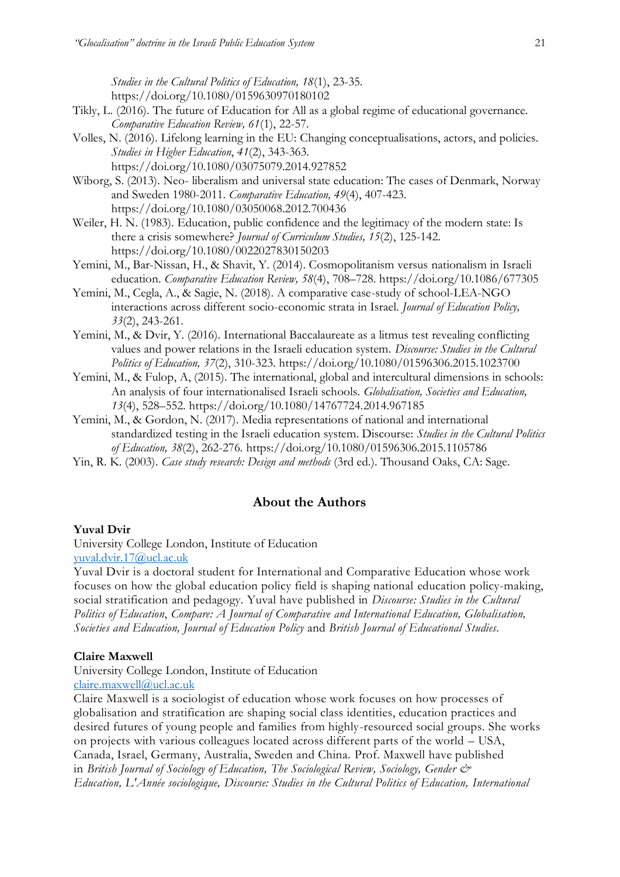*Studies in the Cultural Politics of Education, 18*(1), 23-35. <https://doi.org/10.1080/0159630970180102>

- Tikly, L. (2016). The future of Education for All as a global regime of educational governance. *Comparative Education Review, 61*(1), 22-57.
- Volles, N. (2016). Lifelong learning in the EU: Changing conceptualisations, actors, and policies. *Studies in Higher Education*, *41*(2), 343-363. <https://doi.org/10.1080/03075079.2014.927852>
- Wiborg, S. (2013). Neo- liberalism and universal state education: The cases of Denmark, Norway and Sweden 1980-2011. *Comparative Education, 49*(4), 407-423. <https://doi.org/10.1080/03050068.2012.700436>
- Weiler, H. N. (1983). Education, public confidence and the legitimacy of the modern state: Is there a crisis somewhere? *Journal of Curriculum Studies, 15*(2), 125-142. <https://doi.org/10.1080/0022027830150203>
- Yemini, M., Bar-Nissan, H., & Shavit, Y. (2014). Cosmopolitanism versus nationalism in Israeli education. *Comparative Education Review, 58*(4), 708–728. <https://doi.org/10.1086/677305>
- Yemini, M., Cegla, A., & Sagie, N. (2018). A comparative case-study of school-LEA-NGO interactions across different socio-economic strata in Israel. *Journal of Education Policy, 33*(2), 243-261.
- Yemini, M., & Dvir, Y. (2016). International Baccalaureate as a litmus test revealing conflicting values and power relations in the Israeli education system. *Discourse: Studies in the Cultural Politics of Education, 37*(2), 310-323.<https://doi.org/10.1080/01596306.2015.1023700>
- Yemini, M., & Fulop, A, (2015). The international, global and intercultural dimensions in schools: An analysis of four internationalised Israeli schools. *Globalisation, Societies and Education, 13*(4), 528–552.<https://doi.org/10.1080/14767724.2014.967185>
- Yemini, M., & Gordon, N. (2017). Media representations of national and international standardized testing in the Israeli education system. Discourse: *Studies in the Cultural Politics of Education, 38*(2), 262-276*.* <https://doi.org/10.1080/01596306.2015.1105786>
- Yin, R. K. (2003). *Case study research: Design and methods* (3rd ed.). Thousand Oaks, CA: Sage.

# **About the Authors**

## **Yuval Dvir**

University College London, Institute of Education [yuval.dvir.17@ucl.ac.uk](mailto:yuval.dvir.17@ucl.ac.uk)

Yuval Dvir is a doctoral student for International and Comparative Education whose work focuses on how the global education policy field is shaping national education policy-making, social stratification and pedagogy. Yuval have published in *Discourse: Studies in the Cultural Politics of Education*, *Compare: A Journal of Comparative and International Education, Globalisation, Societies and Education, Journal of Education Policy* and *British Journal of Educational Studies.*

### **Claire Maxwell**

University College London, Institute of Education

[claire.maxwell@ucl.ac.uk](mailto:claire.maxwell@ucl.ac.uk)

Claire Maxwell is a sociologist of education whose work focuses on how processes of globalisation and stratification are shaping social class identities, education practices and desired futures of young people and families from highly-resourced social groups. She works on projects with various colleagues located across different parts of the world – USA, Canada, Israel, Germany, Australia, Sweden and China. Prof. Maxwell have published in *British Journal of Sociology of Education, The Sociological Review, Sociology, Gender & Education, L'Année sociologique, Discourse: Studies in the Cultural Politics of Education, International*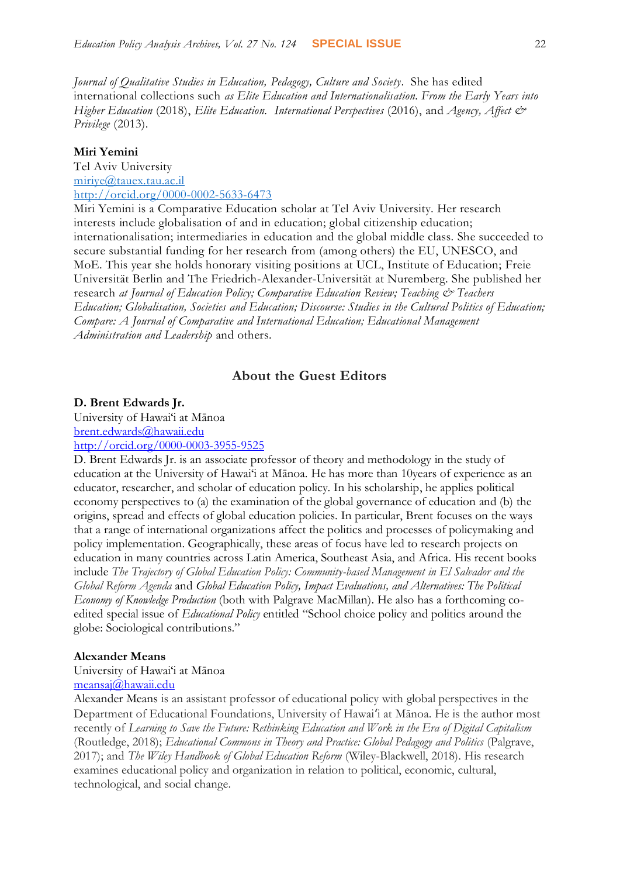*Journal of Qualitative Studies in Education, Pedagogy, Culture and Society*. She has edited international collections such *as Elite Education and Internationalisation. From the Early Years into Higher Education* (2018), *Elite Education. International Perspectives* (2016), and *Agency, Affect & Privilege* (2013).

#### **Miri Yemini**

Tel Aviv University [miriye@tauex.tau.ac.il](mailto:miriye@tauex.tau.ac.il) <http://orcid.org/0000-0002-5633-6473>

Miri Yemini is a Comparative Education scholar at Tel Aviv University. Her research interests include globalisation of and in education; global citizenship education; internationalisation; intermediaries in education and the global middle class. She succeeded to secure substantial funding for her research from (among others) the EU, UNESCO, and MoE. This year she holds honorary visiting positions at UCL, Institute of Education; Freie Universität Berlin and The Friedrich-Alexander-Universität at Nuremberg. She published her research at Journal of Education Policy; Comparative Education Review; Teaching & Teachers *Education; Globalisation, Societies and Education; Discourse: Studies in the Cultural Politics of Education; Compare: A Journal of Comparative and International Education; Educational Management Administration and Leadership* and others.

## **About the Guest Editors**

#### **D. Brent Edwards Jr.**

University of Hawai'i at Mānoa [brent.edwards@hawaii.edu](mailto:brent.edwards@hawaii.edu) <http://orcid.org/0000-0003-3955-9525>

D. Brent Edwards Jr. is an associate professor of theory and methodology in the study of education at the University of Hawai'i at Mānoa. He has more than 10years of experience as an educator, researcher, and scholar of education policy. In his scholarship, he applies political economy perspectives to (a) the examination of the global governance of education and (b) the origins, spread and effects of global education policies. In particular, Brent focuses on the ways that a range of international organizations affect the politics and processes of policymaking and policy implementation. Geographically, these areas of focus have led to research projects on education in many countries across Latin America, Southeast Asia, and Africa. His recent books include *The Trajectory of Global Education Policy: Community-based Management in El Salvador and the Global Reform Agenda* and *Global Education Policy, Impact Evaluations, and Alternatives: The Political Economy of Knowledge Production* (both with Palgrave MacMillan). He also has a forthcoming coedited special issue of *Educational Policy* entitled "School choice policy and politics around the globe: Sociological contributions."

### **Alexander Means**

University of Hawai'i at Mānoa

[meansaj@hawaii.edu](mailto:meansaj@hawaii.edu)

Alexander Means is an assistant professor of educational policy with global perspectives in the Department of Educational Foundations, University of Hawaiʻi at Mānoa. He is the author most recently of *Learning to Save the Future: Rethinking Education and Work in the Era of Digital Capitalism* (Routledge, 2018); *Educational Commons in Theory and Practice: Global Pedagogy and Politics* (Palgrave, 2017); and *The Wiley Handbook of Global Education Reform* (Wiley-Blackwell, 2018). His research examines educational policy and organization in relation to political, economic, cultural, technological, and social change.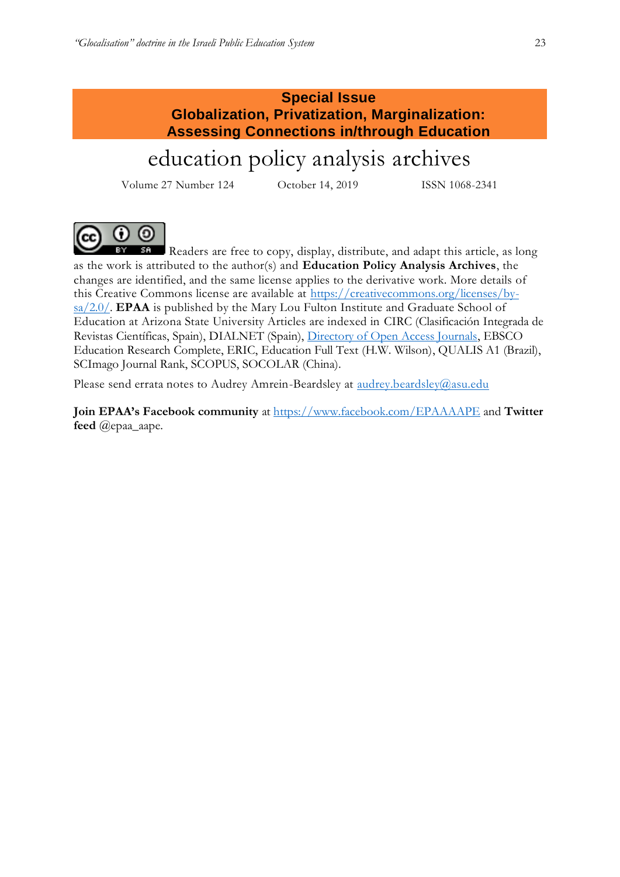# **Special Issue Globalization, Privatization, Marginalization: Assessing Connections in/through Education**

# education policy analysis archives

Volume 27 Number 124 October 14, 2019 ISSN 1068-2341



Readers are free to copy, display, distribute, and adapt this article, as long as the work is attributed to the author(s) and **Education Policy Analysis Archives**, the changes are identified, and the same license applies to the derivative work. More details of this Creative Commons license are available at [https://creativecommons.org/licenses/by](https://creativecommons.org/licenses/by-sa/2.0/)[sa/2.0/.](https://creativecommons.org/licenses/by-sa/2.0/) **EPAA** is published by the Mary Lou Fulton Institute and Graduate School of Education at Arizona State University Articles are indexed in CIRC (Clasificación Integrada de Revistas Científicas, Spain), DIALNET (Spain), [Directory of Open Access Journals,](http://www.doaj.org/) EBSCO Education Research Complete, ERIC, Education Full Text (H.W. Wilson), QUALIS A1 (Brazil), SCImago Journal Rank, SCOPUS, SOCOLAR (China).

Please send errata notes to Audrey Amrein-Beardsley at [audrey.beardsley@asu.edu](mailto:audrey.beardsley@asu.edu)

**Join EPAA's Facebook community** at<https://www.facebook.com/EPAAAAPE> and **Twitter feed** @epaa\_aape.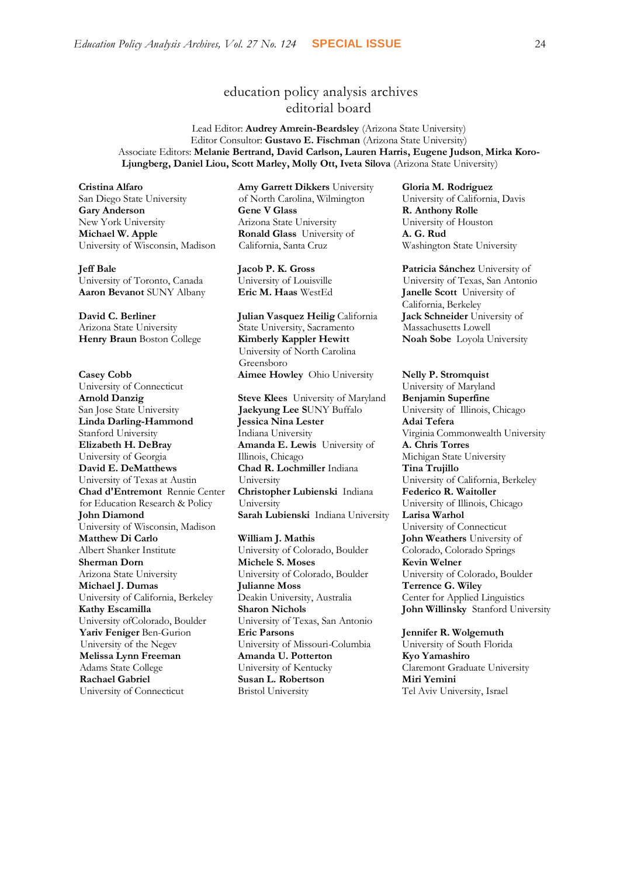# education policy analysis archives editorial board

Lead Editor: **Audrey Amrein-Beardsley** (Arizona State University) Editor Consultor: **Gustavo E. Fischman** (Arizona State University) Associate Editors: **Melanie Bertrand, David Carlson, Lauren Harris, Eugene Judson**, **Mirka Koro-Ljungberg, Daniel Liou, Scott Marley, Molly Ott, Iveta Silova** (Arizona State University)

**Cristina Alfaro**  San Diego State University **Gary Anderson** New York University **Michael W. Apple**  University of Wisconsin, Madison

**Jeff Bale**  University of Toronto, Canada **Aaron Bevanot** SUNY Albany **Eric M. Haas** WestEd **Janelle Scott** University of

**David C. Berliner**  Arizona State University **Henry Braun** Boston College **Kimberly Kappler Hewitt**

**Casey Cobb** University of Connecticut **Arnold Danzig** San Jose State University **Linda Darling-Hammond**  Stanford University **Elizabeth H. DeBray**  University of Georgia **David E. DeMatthews** University of Texas at Austin **Chad d'Entremont** Rennie Center for Education Research & Policy **John Diamond** University of Wisconsin, Madison **Matthew Di Carlo**  Albert Shanker Institute **Sherman Dorn** Arizona State University **Michael J. Dumas**  University of California, Berkeley **Kathy Escamilla**  University ofColorado, Boulder **Yariv Feniger** Ben-Gurion University of the Negev **Melissa Lynn Freeman**  Adams State College **Rachael Gabriel** University of Connecticut

**Amy Garrett Dikkers** University of North Carolina, Wilmington **Gene V Glass**  Arizona State University **Ronald Glass** University of California, Santa Cruz

**Jacob P. K. Gross**  University of Louisville

**Julian Vasquez Heilig** California State University, Sacramento University of North Carolina Greensboro **Aimee Howley** Ohio University **Nelly P. Stromquist** 

**Steve Klees** University of Maryland **Jaekyung Lee S**UNY Buffalo **Jessica Nina Lester** Indiana University **Amanda E. Lewis** University of Illinois, Chicago **Chad R. Lochmiller** Indiana University **Christopher Lubienski** Indiana University **Sarah Lubienski** Indiana University **Larisa Warhol**

**William J. Mathis**  University of Colorado, Boulder **Michele S. Moses**  University of Colorado, Boulder **Julianne Moss** Deakin University, Australia **Sharon Nichols**  University of Texas, San Antonio **Eric Parsons** University of Missouri-Columbia **Amanda U. Potterton** University of Kentucky **Susan L. Robertson** Bristol University

**Gloria M. Rodriguez** University of California, Davis **R. Anthony Rolle**  University of Houston **A. G. Rud**  Washington State University

**Patricia Sánchez** University of University of Texas, San Antonio California, Berkeley **Jack Schneider** University of Massachusetts Lowell **Noah Sobe** Loyola University

University of Maryland **Benjamin Superfine**  University of Illinois, Chicago **Adai Tefera**  Virginia Commonwealth University **A. Chris Torres** Michigan State University **Tina Trujillo**  University of California, Berkeley **Federico R. Waitoller**  University of Illinois, Chicago University of Connecticut **John Weathers** University of Colorado, Colorado Springs **Kevin Welner** University of Colorado, Boulder **Terrence G. Wiley**  Center for Applied Linguistics **John Willinsky** Stanford University

**Jennifer R. Wolgemuth**  University of South Florida **Kyo Yamashiro**  Claremont Graduate University **Miri Yemini** Tel Aviv University, Israel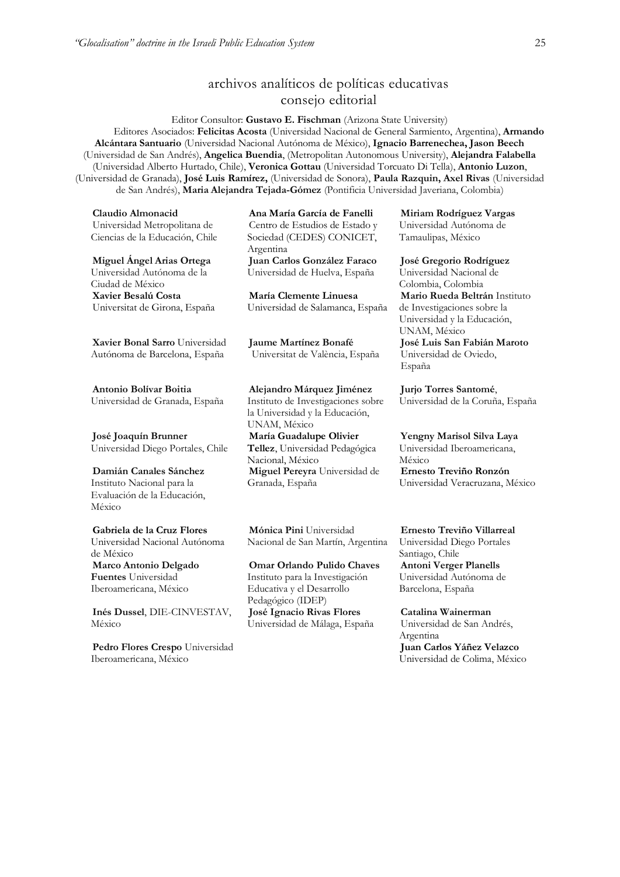# archivos analíticos de políticas educativas consejo editorial

Editor Consultor: **Gustavo E. Fischman** (Arizona State University) Editores Asociados: **Felicitas Acosta** (Universidad Nacional de General Sarmiento, Argentina), **Armando Alcántara Santuario** (Universidad Nacional Autónoma de México), **Ignacio Barrenechea, Jason Beech**  (Universidad de San Andrés), **Angelica Buendia**, (Metropolitan Autonomous University), **Alejandra Falabella** (Universidad Alberto Hurtado, Chile), **Veronica Gottau** (Universidad Torcuato Di Tella), **Antonio Luzon**, (Universidad de Granada), **José Luis Ramírez,** (Universidad de Sonora), **[Paula Razquin,](javascript:openRTWindow() Axel Rivas** (Universidad de San Andrés), **Maria Alejandra Tejada-Gómez** (Pontificia Universidad Javeriana, Colombia)

**Claudio Almonacid** Universidad Metropolitana de Ciencias de la Educación, Chile

**Miguel Ángel Arias Ortega**  Universidad Autónoma de la Ciudad de México

**Xavier Besalú Costa**  Universitat de Girona, España

**[Xavier Bonal](javascript:openRTWindow() Sarro** Universidad Autónoma de Barcelona, España

**[Antonio Bolívar](javascript:openRTWindow() Boitia** Universidad de Granada, España

**[José Joaquín Brunner](javascript:openRTWindow()** Universidad Diego Portales, Chile

**[Damián Canales Sánchez](javascript:openRTWindow()** Instituto Nacional para la Evaluación de la Educación, México

**Gabriela de la Cruz Flores** Universidad Nacional Autónoma de México **[Marco Antonio Delgado](javascript:openRTWindow()  [Fuentes](javascript:openRTWindow()** Universidad Iberoamericana, México

**[Inés Dussel](javascript:openRTWindow()**, DIE-CINVESTAV, México

**[Pedro Flores Crespo](javascript:openRTWindow()** Universidad Iberoamericana, México

**Ana María García de Fanelli**  Centro de Estudios de Estado y Sociedad (CEDES) CONICET, Argentina

**Juan Carlos González Faraco**  Universidad de Huelva, España

**María Clemente Linuesa**  Universidad de Salamanca, España

**Jaume Martínez Bonafé** Universitat de València, España

#### **Alejandro Márquez Jiménez**

Instituto de Investigaciones sobre la Universidad y la Educación, UNAM, México **María Guadalupe Olivier Tellez**, Universidad Pedagógica Nacional, México **[Miguel Pereyra](javascript:openRTWindow()** Universidad de Granada, España

**[Mónica Pini](javascript:openRTWindow()** Universidad Nacional de San Martín, Argentina

**Omar Orlando Pulido Chaves** Instituto para la Investigación Educativa y el Desarrollo Pedagógico (IDEP) **José Ignacio Rivas Flores** Universidad de Málaga, España

**[Miriam Rodríguez Vargas](javascript:openRTWindow()** Universidad Autónoma de Tamaulipas, México

#### **José Gregorio Rodríguez**

Universidad Nacional de Colombia, Colombia **[Mario Rueda Beltrán](javascript:openRTWindow()** Instituto de Investigaciones sobre la Universidad y la Educación, UNAM, México **José Luis San Fabián Maroto**  Universidad de Oviedo, España

**[Jurjo Torres Santomé](javascript:openRTWindow()**, Universidad de la Coruña, España

**[Yengny Marisol Silva Laya](javascript:openRTWindow()** Universidad Iberoamericana, México **Ernesto Treviño Ronzón** Universidad Veracruzana, México

**[Ernesto Treviño](javascript:openRTWindow() Villarreal**

Universidad Diego Portales Santiago, Chile **[Antoni Verger Planells](javascript:openRTWindow()** Universidad Autónoma de Barcelona, España

**[Catalina Wainerman](javascript:openRTWindow()** Universidad de San Andrés, Argentina **Juan Carlos Yáñez Velazco** Universidad de Colima, México